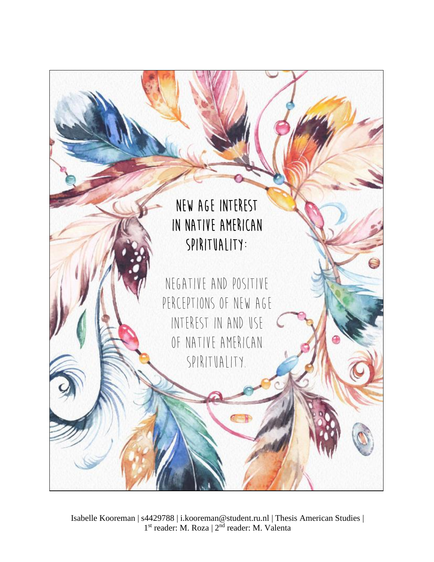# New Age interest in Native American SPIRITUALITY:

Negative and positive PERCEPTIONS OF NEW AGE interest in and use of Native American spirituality.

 $\mathbf{0}$ 

Isabelle Kooreman | s4429788 | i.kooreman@student.ru.nl | Thesis American Studies | 1<sup>st</sup> reader: M. Roza | 2<sup>nd</sup> reader: M. Valenta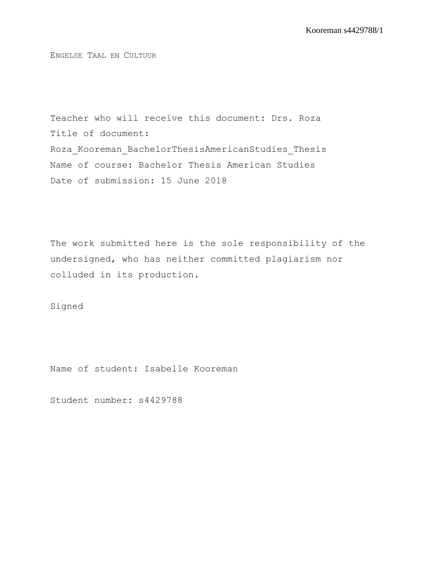ENGELSE TAAL EN CULTUUR

Teacher who will receive this document: Drs. Roza Title of document: Roza\_Kooreman\_BachelorThesisAmericanStudies\_Thesis Name of course: Bachelor Thesis American Studies Date of submission: 15 June 2018

The work submitted here is the sole responsibility of the undersigned, who has neither committed plagiarism nor colluded in its production.

Signed

Name of student: Isabelle Kooreman

Student number: s4429788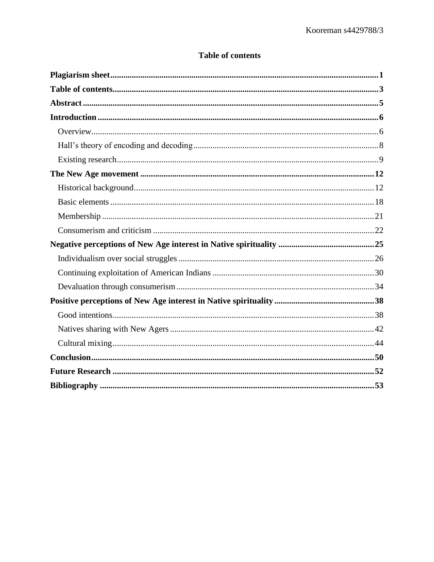## **Table of contents**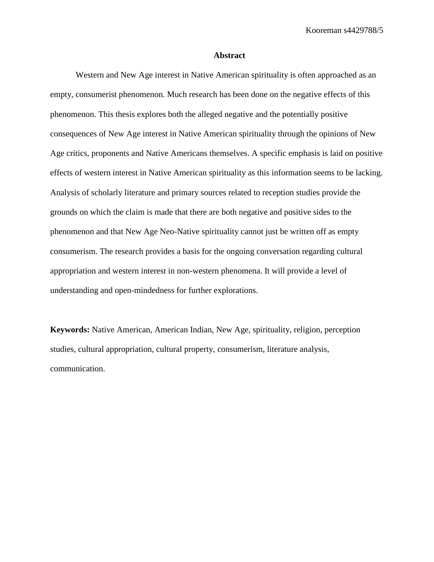## **Abstract**

Western and New Age interest in Native American spirituality is often approached as an empty, consumerist phenomenon. Much research has been done on the negative effects of this phenomenon. This thesis explores both the alleged negative and the potentially positive consequences of New Age interest in Native American spirituality through the opinions of New Age critics, proponents and Native Americans themselves. A specific emphasis is laid on positive effects of western interest in Native American spirituality as this information seems to be lacking. Analysis of scholarly literature and primary sources related to reception studies provide the grounds on which the claim is made that there are both negative and positive sides to the phenomenon and that New Age Neo-Native spirituality cannot just be written off as empty consumerism. The research provides a basis for the ongoing conversation regarding cultural appropriation and western interest in non-western phenomena. It will provide a level of understanding and open-mindedness for further explorations.

**Keywords:** Native American, American Indian, New Age, spirituality, religion, perception studies, cultural appropriation, cultural property, consumerism, literature analysis, communication.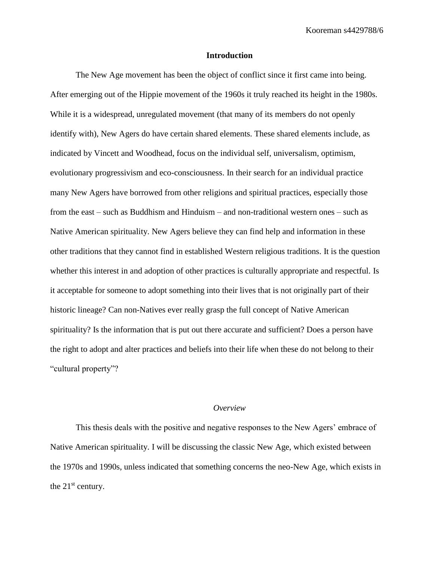## **Introduction**

The New Age movement has been the object of conflict since it first came into being. After emerging out of the Hippie movement of the 1960s it truly reached its height in the 1980s. While it is a widespread, unregulated movement (that many of its members do not openly identify with), New Agers do have certain shared elements. These shared elements include, as indicated by Vincett and Woodhead, focus on the individual self, universalism, optimism, evolutionary progressivism and eco-consciousness. In their search for an individual practice many New Agers have borrowed from other religions and spiritual practices, especially those from the east – such as Buddhism and Hinduism – and non-traditional western ones – such as Native American spirituality. New Agers believe they can find help and information in these other traditions that they cannot find in established Western religious traditions. It is the question whether this interest in and adoption of other practices is culturally appropriate and respectful. Is it acceptable for someone to adopt something into their lives that is not originally part of their historic lineage? Can non-Natives ever really grasp the full concept of Native American spirituality? Is the information that is put out there accurate and sufficient? Does a person have the right to adopt and alter practices and beliefs into their life when these do not belong to their "cultural property"?

## *Overview*

This thesis deals with the positive and negative responses to the New Agers' embrace of Native American spirituality. I will be discussing the classic New Age, which existed between the 1970s and 1990s, unless indicated that something concerns the neo-New Age, which exists in the  $21<sup>st</sup>$  century.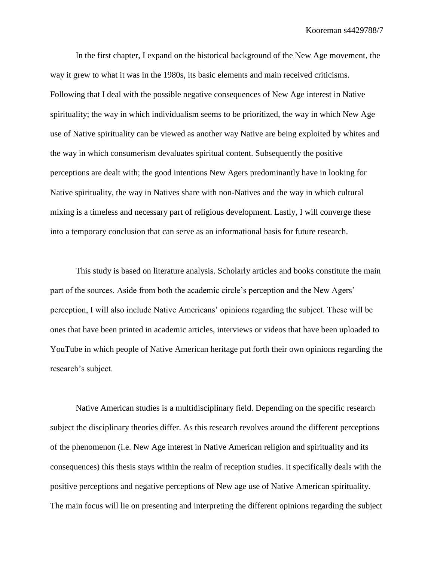In the first chapter, I expand on the historical background of the New Age movement, the way it grew to what it was in the 1980s, its basic elements and main received criticisms. Following that I deal with the possible negative consequences of New Age interest in Native spirituality; the way in which individualism seems to be prioritized, the way in which New Age use of Native spirituality can be viewed as another way Native are being exploited by whites and the way in which consumerism devaluates spiritual content. Subsequently the positive perceptions are dealt with; the good intentions New Agers predominantly have in looking for Native spirituality, the way in Natives share with non-Natives and the way in which cultural mixing is a timeless and necessary part of religious development. Lastly, I will converge these into a temporary conclusion that can serve as an informational basis for future research.

This study is based on literature analysis. Scholarly articles and books constitute the main part of the sources. Aside from both the academic circle's perception and the New Agers' perception, I will also include Native Americans' opinions regarding the subject. These will be ones that have been printed in academic articles, interviews or videos that have been uploaded to YouTube in which people of Native American heritage put forth their own opinions regarding the research's subject.

Native American studies is a multidisciplinary field. Depending on the specific research subject the disciplinary theories differ. As this research revolves around the different perceptions of the phenomenon (i.e. New Age interest in Native American religion and spirituality and its consequences) this thesis stays within the realm of reception studies. It specifically deals with the positive perceptions and negative perceptions of New age use of Native American spirituality. The main focus will lie on presenting and interpreting the different opinions regarding the subject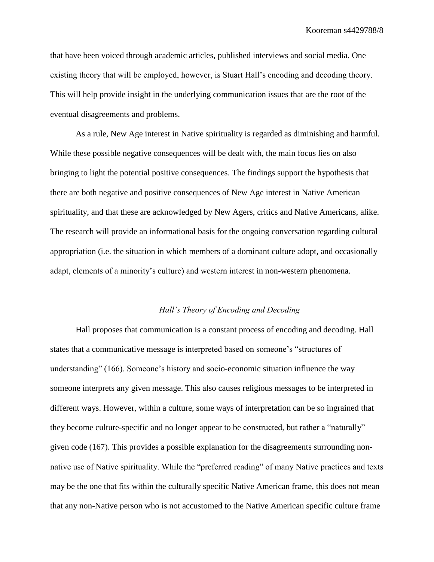that have been voiced through academic articles, published interviews and social media. One existing theory that will be employed, however, is Stuart Hall's encoding and decoding theory. This will help provide insight in the underlying communication issues that are the root of the eventual disagreements and problems.

As a rule, New Age interest in Native spirituality is regarded as diminishing and harmful. While these possible negative consequences will be dealt with, the main focus lies on also bringing to light the potential positive consequences. The findings support the hypothesis that there are both negative and positive consequences of New Age interest in Native American spirituality, and that these are acknowledged by New Agers, critics and Native Americans, alike. The research will provide an informational basis for the ongoing conversation regarding cultural appropriation (i.e. the situation in which members of a dominant culture adopt, and occasionally adapt, elements of a minority's culture) and western interest in non-western phenomena.

## *Hall's Theory of Encoding and Decoding*

Hall proposes that communication is a constant process of encoding and decoding. Hall states that a communicative message is interpreted based on someone's "structures of understanding" (166). Someone's history and socio-economic situation influence the way someone interprets any given message. This also causes religious messages to be interpreted in different ways. However, within a culture, some ways of interpretation can be so ingrained that they become culture-specific and no longer appear to be constructed, but rather a "naturally" given code (167). This provides a possible explanation for the disagreements surrounding nonnative use of Native spirituality. While the "preferred reading" of many Native practices and texts may be the one that fits within the culturally specific Native American frame, this does not mean that any non-Native person who is not accustomed to the Native American specific culture frame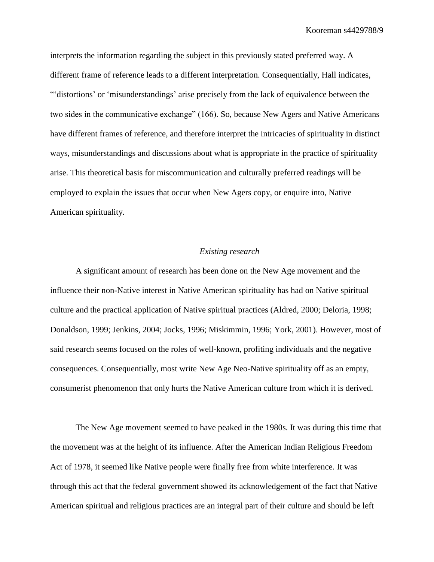interprets the information regarding the subject in this previously stated preferred way. A different frame of reference leads to a different interpretation. Consequentially, Hall indicates, "'distortions' or 'misunderstandings' arise precisely from the lack of equivalence between the two sides in the communicative exchange" (166). So, because New Agers and Native Americans have different frames of reference, and therefore interpret the intricacies of spirituality in distinct ways, misunderstandings and discussions about what is appropriate in the practice of spirituality arise. This theoretical basis for miscommunication and culturally preferred readings will be employed to explain the issues that occur when New Agers copy, or enquire into, Native American spirituality.

## *Existing research*

A significant amount of research has been done on the New Age movement and the influence their non-Native interest in Native American spirituality has had on Native spiritual culture and the practical application of Native spiritual practices (Aldred, 2000; Deloria, 1998; Donaldson, 1999; Jenkins, 2004; Jocks, 1996; Miskimmin, 1996; York, 2001). However, most of said research seems focused on the roles of well-known, profiting individuals and the negative consequences. Consequentially, most write New Age Neo-Native spirituality off as an empty, consumerist phenomenon that only hurts the Native American culture from which it is derived.

The New Age movement seemed to have peaked in the 1980s. It was during this time that the movement was at the height of its influence. After the American Indian Religious Freedom Act of 1978, it seemed like Native people were finally free from white interference. It was through this act that the federal government showed its acknowledgement of the fact that Native American spiritual and religious practices are an integral part of their culture and should be left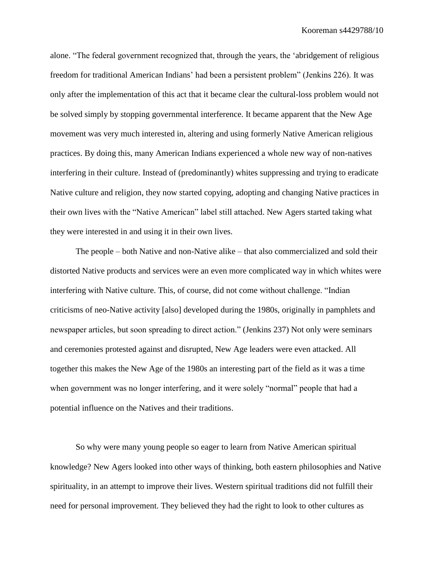alone. "The federal government recognized that, through the years, the 'abridgement of religious freedom for traditional American Indians' had been a persistent problem" (Jenkins 226). It was only after the implementation of this act that it became clear the cultural-loss problem would not be solved simply by stopping governmental interference. It became apparent that the New Age movement was very much interested in, altering and using formerly Native American religious practices. By doing this, many American Indians experienced a whole new way of non-natives interfering in their culture. Instead of (predominantly) whites suppressing and trying to eradicate Native culture and religion, they now started copying, adopting and changing Native practices in their own lives with the "Native American" label still attached. New Agers started taking what they were interested in and using it in their own lives.

The people – both Native and non-Native alike – that also commercialized and sold their distorted Native products and services were an even more complicated way in which whites were interfering with Native culture. This, of course, did not come without challenge. "Indian criticisms of neo-Native activity [also] developed during the 1980s, originally in pamphlets and newspaper articles, but soon spreading to direct action." (Jenkins 237) Not only were seminars and ceremonies protested against and disrupted, New Age leaders were even attacked. All together this makes the New Age of the 1980s an interesting part of the field as it was a time when government was no longer interfering, and it were solely "normal" people that had a potential influence on the Natives and their traditions.

So why were many young people so eager to learn from Native American spiritual knowledge? New Agers looked into other ways of thinking, both eastern philosophies and Native spirituality, in an attempt to improve their lives. Western spiritual traditions did not fulfill their need for personal improvement. They believed they had the right to look to other cultures as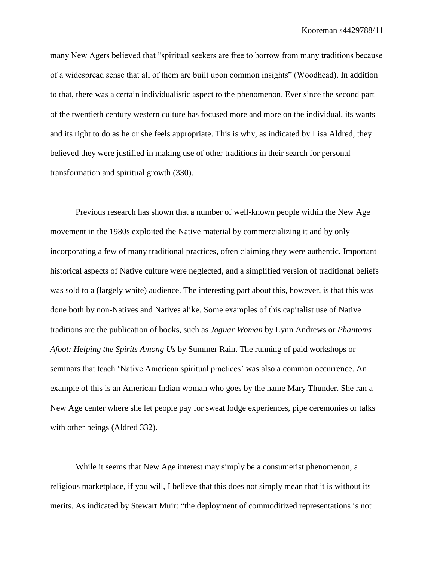many New Agers believed that "spiritual seekers are free to borrow from many traditions because of a widespread sense that all of them are built upon common insights" (Woodhead). In addition to that, there was a certain individualistic aspect to the phenomenon. Ever since the second part of the twentieth century western culture has focused more and more on the individual, its wants and its right to do as he or she feels appropriate. This is why, as indicated by Lisa Aldred, they believed they were justified in making use of other traditions in their search for personal transformation and spiritual growth (330).

Previous research has shown that a number of well-known people within the New Age movement in the 1980s exploited the Native material by commercializing it and by only incorporating a few of many traditional practices, often claiming they were authentic. Important historical aspects of Native culture were neglected, and a simplified version of traditional beliefs was sold to a (largely white) audience. The interesting part about this, however, is that this was done both by non-Natives and Natives alike. Some examples of this capitalist use of Native traditions are the publication of books, such as *Jaguar Woman* by Lynn Andrews or *Phantoms Afoot: Helping the Spirits Among Us* by Summer Rain. The running of paid workshops or seminars that teach 'Native American spiritual practices' was also a common occurrence. An example of this is an American Indian woman who goes by the name Mary Thunder. She ran a New Age center where she let people pay for sweat lodge experiences, pipe ceremonies or talks with other beings (Aldred 332).

While it seems that New Age interest may simply be a consumerist phenomenon, a religious marketplace, if you will, I believe that this does not simply mean that it is without its merits. As indicated by Stewart Muir: "the deployment of commoditized representations is not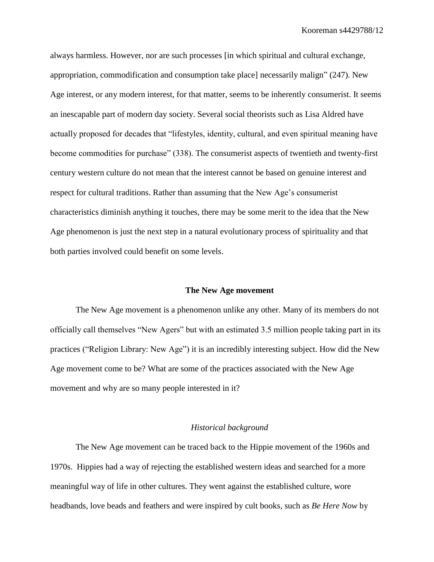always harmless. However, nor are such processes [in which spiritual and cultural exchange, appropriation, commodification and consumption take place] necessarily malign" (247). New Age interest, or any modern interest, for that matter, seems to be inherently consumerist. It seems an inescapable part of modern day society. Several social theorists such as Lisa Aldred have actually proposed for decades that "lifestyles, identity, cultural, and even spiritual meaning have become commodities for purchase" (338). The consumerist aspects of twentieth and twenty-first century western culture do not mean that the interest cannot be based on genuine interest and respect for cultural traditions. Rather than assuming that the New Age's consumerist characteristics diminish anything it touches, there may be some merit to the idea that the New Age phenomenon is just the next step in a natural evolutionary process of spirituality and that both parties involved could benefit on some levels.

#### **The New Age movement**

The New Age movement is a phenomenon unlike any other. Many of its members do not officially call themselves "New Agers" but with an estimated 3.5 million people taking part in its practices ("Religion Library: New Age") it is an incredibly interesting subject. How did the New Age movement come to be? What are some of the practices associated with the New Age movement and why are so many people interested in it?

## *Historical background*

The New Age movement can be traced back to the Hippie movement of the 1960s and 1970s. Hippies had a way of rejecting the established western ideas and searched for a more meaningful way of life in other cultures. They went against the established culture, wore headbands, love beads and feathers and were inspired by cult books, such as *Be Here Now* by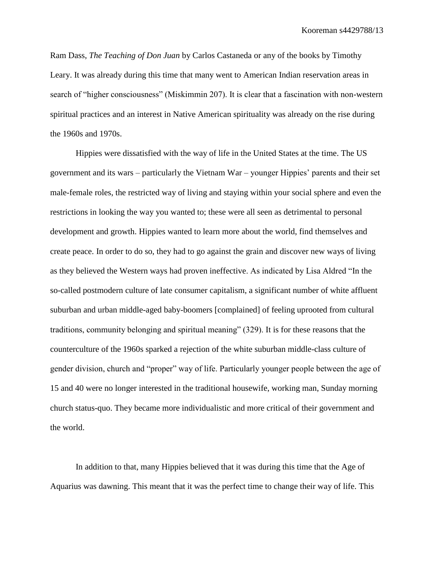Ram Dass, *The Teaching of Don Juan* by Carlos Castaneda or any of the books by Timothy Leary. It was already during this time that many went to American Indian reservation areas in search of "higher consciousness" (Miskimmin 207). It is clear that a fascination with non-western spiritual practices and an interest in Native American spirituality was already on the rise during the 1960s and 1970s.

Hippies were dissatisfied with the way of life in the United States at the time. The US government and its wars – particularly the Vietnam War – younger Hippies' parents and their set male-female roles, the restricted way of living and staying within your social sphere and even the restrictions in looking the way you wanted to; these were all seen as detrimental to personal development and growth. Hippies wanted to learn more about the world, find themselves and create peace. In order to do so, they had to go against the grain and discover new ways of living as they believed the Western ways had proven ineffective. As indicated by Lisa Aldred "In the so-called postmodern culture of late consumer capitalism, a significant number of white affluent suburban and urban middle-aged baby-boomers [complained] of feeling uprooted from cultural traditions, community belonging and spiritual meaning" (329). It is for these reasons that the counterculture of the 1960s sparked a rejection of the white suburban middle-class culture of gender division, church and "proper" way of life. Particularly younger people between the age of 15 and 40 were no longer interested in the traditional housewife, working man, Sunday morning church status-quo. They became more individualistic and more critical of their government and the world.

In addition to that, many Hippies believed that it was during this time that the Age of Aquarius was dawning. This meant that it was the perfect time to change their way of life. This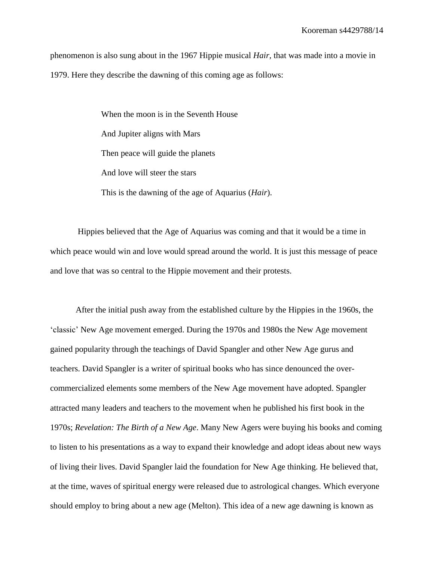phenomenon is also sung about in the 1967 Hippie musical *Hair,* that was made into a movie in 1979. Here they describe the dawning of this coming age as follows:

> When the moon is in the Seventh House And Jupiter aligns with Mars Then peace will guide the planets And love will steer the stars This is the dawning of the age of Aquarius (*Hair*).

Hippies believed that the Age of Aquarius was coming and that it would be a time in which peace would win and love would spread around the world. It is just this message of peace and love that was so central to the Hippie movement and their protests.

After the initial push away from the established culture by the Hippies in the 1960s, the 'classic' New Age movement emerged. During the 1970s and 1980s the New Age movement gained popularity through the teachings of David Spangler and other New Age gurus and teachers. David Spangler is a writer of spiritual books who has since denounced the overcommercialized elements some members of the New Age movement have adopted. Spangler attracted many leaders and teachers to the movement when he published his first book in the 1970s; *Revelation: The Birth of a New Age*. Many New Agers were buying his books and coming to listen to his presentations as a way to expand their knowledge and adopt ideas about new ways of living their lives. David Spangler laid the foundation for New Age thinking. He believed that, at the time, waves of spiritual energy were released due to astrological changes. Which everyone should employ to bring about a new age (Melton). This idea of a new age dawning is known as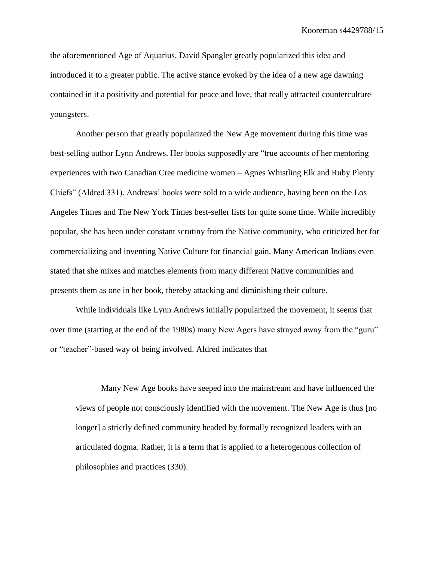the aforementioned Age of Aquarius. David Spangler greatly popularized this idea and introduced it to a greater public. The active stance evoked by the idea of a new age dawning contained in it a positivity and potential for peace and love, that really attracted counterculture youngsters.

Another person that greatly popularized the New Age movement during this time was best-selling author Lynn Andrews. Her books supposedly are "true accounts of her mentoring experiences with two Canadian Cree medicine women – Agnes Whistling Elk and Ruby Plenty Chiefs" (Aldred 331). Andrews' books were sold to a wide audience, having been on the Los Angeles Times and The New York Times best-seller lists for quite some time. While incredibly popular, she has been under constant scrutiny from the Native community, who criticized her for commercializing and inventing Native Culture for financial gain. Many American Indians even stated that she mixes and matches elements from many different Native communities and presents them as one in her book, thereby attacking and diminishing their culture.

While individuals like Lynn Andrews initially popularized the movement, it seems that over time (starting at the end of the 1980s) many New Agers have strayed away from the "guru" or "teacher"-based way of being involved. Aldred indicates that

Many New Age books have seeped into the mainstream and have influenced the views of people not consciously identified with the movement. The New Age is thus [no longer] a strictly defined community headed by formally recognized leaders with an articulated dogma. Rather, it is a term that is applied to a heterogenous collection of philosophies and practices (330).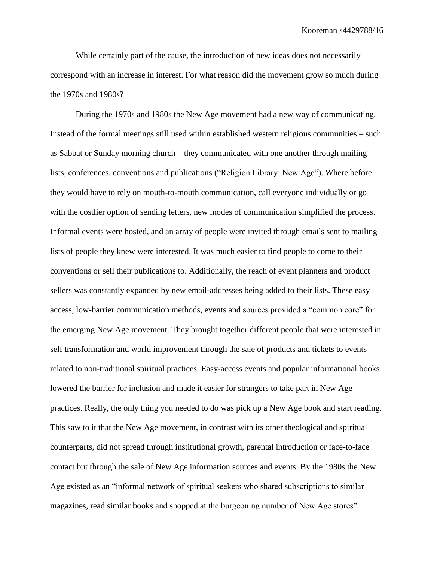While certainly part of the cause, the introduction of new ideas does not necessarily correspond with an increase in interest. For what reason did the movement grow so much during the 1970s and 1980s?

During the 1970s and 1980s the New Age movement had a new way of communicating. Instead of the formal meetings still used within established western religious communities – such as Sabbat or Sunday morning church – they communicated with one another through mailing lists, conferences, conventions and publications ("Religion Library: New Age"). Where before they would have to rely on mouth-to-mouth communication, call everyone individually or go with the costlier option of sending letters, new modes of communication simplified the process. Informal events were hosted, and an array of people were invited through emails sent to mailing lists of people they knew were interested. It was much easier to find people to come to their conventions or sell their publications to. Additionally, the reach of event planners and product sellers was constantly expanded by new email-addresses being added to their lists. These easy access, low-barrier communication methods, events and sources provided a "common core" for the emerging New Age movement. They brought together different people that were interested in self transformation and world improvement through the sale of products and tickets to events related to non-traditional spiritual practices. Easy-access events and popular informational books lowered the barrier for inclusion and made it easier for strangers to take part in New Age practices. Really, the only thing you needed to do was pick up a New Age book and start reading. This saw to it that the New Age movement, in contrast with its other theological and spiritual counterparts, did not spread through institutional growth, parental introduction or face-to-face contact but through the sale of New Age information sources and events. By the 1980s the New Age existed as an "informal network of spiritual seekers who shared subscriptions to similar magazines, read similar books and shopped at the burgeoning number of New Age stores"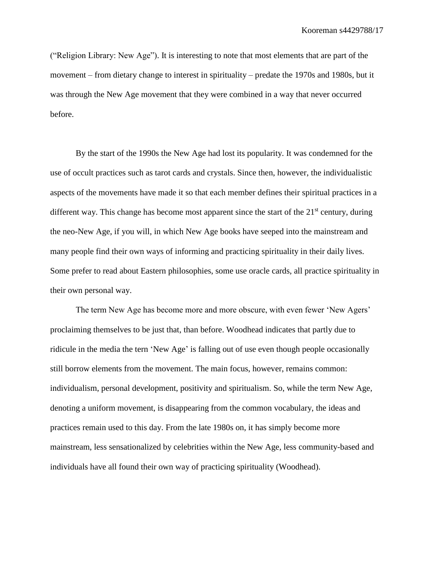("Religion Library: New Age"). It is interesting to note that most elements that are part of the movement – from dietary change to interest in spirituality – predate the 1970s and 1980s, but it was through the New Age movement that they were combined in a way that never occurred before.

By the start of the 1990s the New Age had lost its popularity. It was condemned for the use of occult practices such as tarot cards and crystals. Since then, however, the individualistic aspects of the movements have made it so that each member defines their spiritual practices in a different way. This change has become most apparent since the start of the  $21<sup>st</sup>$  century, during the neo-New Age, if you will, in which New Age books have seeped into the mainstream and many people find their own ways of informing and practicing spirituality in their daily lives. Some prefer to read about Eastern philosophies, some use oracle cards, all practice spirituality in their own personal way.

The term New Age has become more and more obscure, with even fewer 'New Agers' proclaiming themselves to be just that, than before. Woodhead indicates that partly due to ridicule in the media the tern 'New Age' is falling out of use even though people occasionally still borrow elements from the movement. The main focus, however, remains common: individualism, personal development, positivity and spiritualism. So, while the term New Age, denoting a uniform movement, is disappearing from the common vocabulary, the ideas and practices remain used to this day. From the late 1980s on, it has simply become more mainstream, less sensationalized by celebrities within the New Age, less community-based and individuals have all found their own way of practicing spirituality (Woodhead).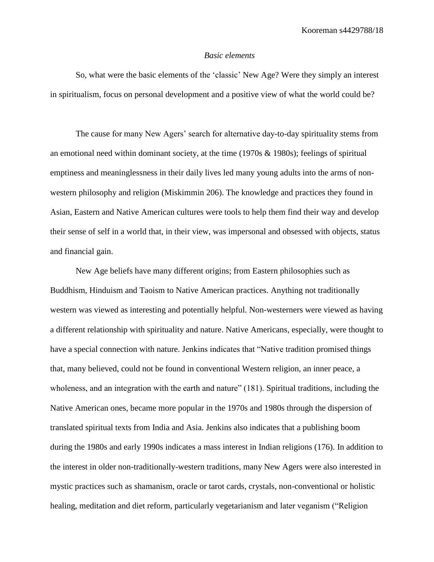## *Basic elements*

So, what were the basic elements of the 'classic' New Age? Were they simply an interest in spiritualism, focus on personal development and a positive view of what the world could be?

The cause for many New Agers' search for alternative day-to-day spirituality stems from an emotional need within dominant society, at the time  $(1970s \& 1980s)$ ; feelings of spiritual emptiness and meaninglessness in their daily lives led many young adults into the arms of nonwestern philosophy and religion (Miskimmin 206). The knowledge and practices they found in Asian, Eastern and Native American cultures were tools to help them find their way and develop their sense of self in a world that, in their view, was impersonal and obsessed with objects, status and financial gain.

New Age beliefs have many different origins; from Eastern philosophies such as Buddhism, Hinduism and Taoism to Native American practices. Anything not traditionally western was viewed as interesting and potentially helpful. Non-westerners were viewed as having a different relationship with spirituality and nature. Native Americans, especially, were thought to have a special connection with nature. Jenkins indicates that "Native tradition promised things that, many believed, could not be found in conventional Western religion, an inner peace, a wholeness, and an integration with the earth and nature" (181). Spiritual traditions, including the Native American ones, became more popular in the 1970s and 1980s through the dispersion of translated spiritual texts from India and Asia. Jenkins also indicates that a publishing boom during the 1980s and early 1990s indicates a mass interest in Indian religions (176). In addition to the interest in older non-traditionally-western traditions, many New Agers were also interested in mystic practices such as shamanism, oracle or tarot cards, crystals, non-conventional or holistic healing, meditation and diet reform, particularly vegetarianism and later veganism ("Religion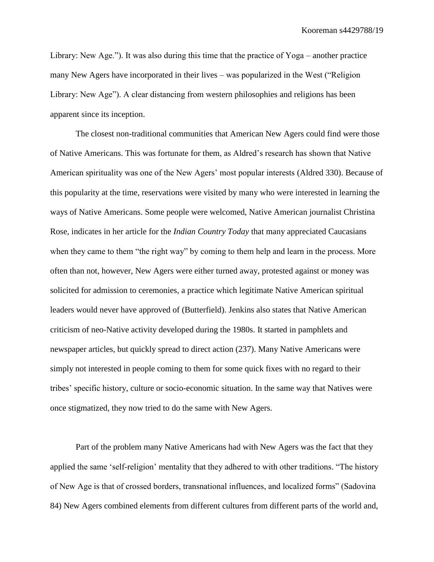Library: New Age."). It was also during this time that the practice of Yoga – another practice many New Agers have incorporated in their lives – was popularized in the West ("Religion Library: New Age"). A clear distancing from western philosophies and religions has been apparent since its inception.

The closest non-traditional communities that American New Agers could find were those of Native Americans. This was fortunate for them, as Aldred's research has shown that Native American spirituality was one of the New Agers' most popular interests (Aldred 330). Because of this popularity at the time, reservations were visited by many who were interested in learning the ways of Native Americans. Some people were welcomed, Native American journalist Christina Rose, indicates in her article for the *Indian Country Today* that many appreciated Caucasians when they came to them "the right way" by coming to them help and learn in the process. More often than not, however, New Agers were either turned away, protested against or money was solicited for admission to ceremonies, a practice which legitimate Native American spiritual leaders would never have approved of (Butterfield). Jenkins also states that Native American criticism of neo-Native activity developed during the 1980s. It started in pamphlets and newspaper articles, but quickly spread to direct action (237). Many Native Americans were simply not interested in people coming to them for some quick fixes with no regard to their tribes' specific history, culture or socio-economic situation. In the same way that Natives were once stigmatized, they now tried to do the same with New Agers.

Part of the problem many Native Americans had with New Agers was the fact that they applied the same 'self-religion' mentality that they adhered to with other traditions. "The history of New Age is that of crossed borders, transnational influences, and localized forms" (Sadovina 84) New Agers combined elements from different cultures from different parts of the world and,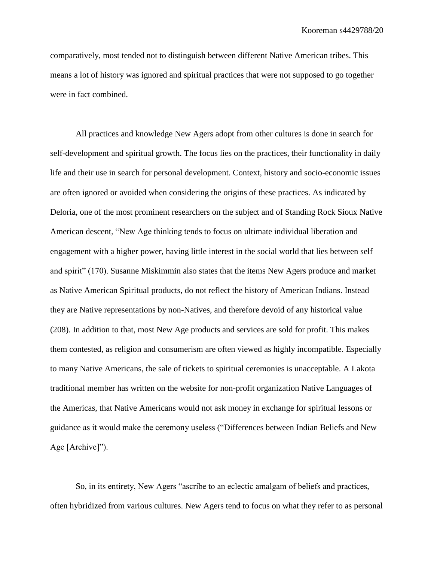comparatively, most tended not to distinguish between different Native American tribes. This means a lot of history was ignored and spiritual practices that were not supposed to go together were in fact combined.

All practices and knowledge New Agers adopt from other cultures is done in search for self-development and spiritual growth. The focus lies on the practices, their functionality in daily life and their use in search for personal development. Context, history and socio-economic issues are often ignored or avoided when considering the origins of these practices. As indicated by Deloria, one of the most prominent researchers on the subject and of Standing Rock Sioux Native American descent, "New Age thinking tends to focus on ultimate individual liberation and engagement with a higher power, having little interest in the social world that lies between self and spirit" (170). Susanne Miskimmin also states that the items New Agers produce and market as Native American Spiritual products, do not reflect the history of American Indians. Instead they are Native representations by non-Natives, and therefore devoid of any historical value (208). In addition to that, most New Age products and services are sold for profit. This makes them contested, as religion and consumerism are often viewed as highly incompatible. Especially to many Native Americans, the sale of tickets to spiritual ceremonies is unacceptable. A Lakota traditional member has written on the website for non-profit organization Native Languages of the Americas, that Native Americans would not ask money in exchange for spiritual lessons or guidance as it would make the ceremony useless ("Differences between Indian Beliefs and New Age [Archive]").

So, in its entirety, New Agers "ascribe to an eclectic amalgam of beliefs and practices, often hybridized from various cultures. New Agers tend to focus on what they refer to as personal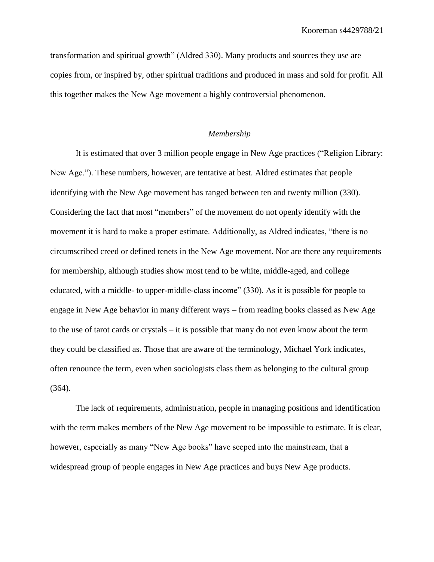transformation and spiritual growth" (Aldred 330). Many products and sources they use are copies from, or inspired by, other spiritual traditions and produced in mass and sold for profit. All this together makes the New Age movement a highly controversial phenomenon.

## *Membership*

It is estimated that over 3 million people engage in New Age practices ("Religion Library: New Age."). These numbers, however, are tentative at best. Aldred estimates that people identifying with the New Age movement has ranged between ten and twenty million (330). Considering the fact that most "members" of the movement do not openly identify with the movement it is hard to make a proper estimate. Additionally, as Aldred indicates, "there is no circumscribed creed or defined tenets in the New Age movement. Nor are there any requirements for membership, although studies show most tend to be white, middle-aged, and college educated, with a middle- to upper-middle-class income" (330). As it is possible for people to engage in New Age behavior in many different ways – from reading books classed as New Age to the use of tarot cards or crystals – it is possible that many do not even know about the term they could be classified as. Those that are aware of the terminology, Michael York indicates, often renounce the term, even when sociologists class them as belonging to the cultural group (364).

The lack of requirements, administration, people in managing positions and identification with the term makes members of the New Age movement to be impossible to estimate. It is clear, however, especially as many "New Age books" have seeped into the mainstream, that a widespread group of people engages in New Age practices and buys New Age products.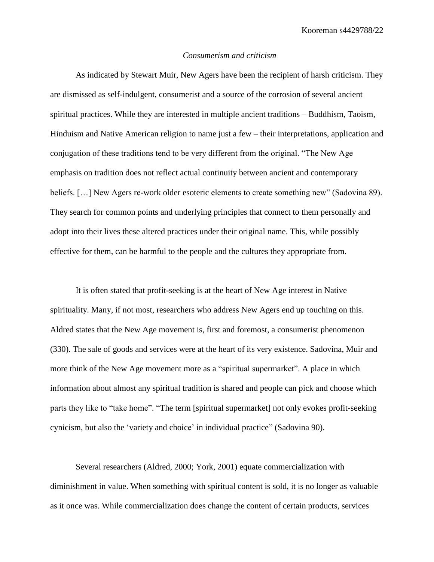#### *Consumerism and criticism*

As indicated by Stewart Muir, New Agers have been the recipient of harsh criticism. They are dismissed as self-indulgent, consumerist and a source of the corrosion of several ancient spiritual practices. While they are interested in multiple ancient traditions – Buddhism, Taoism, Hinduism and Native American religion to name just a few – their interpretations, application and conjugation of these traditions tend to be very different from the original. "The New Age emphasis on tradition does not reflect actual continuity between ancient and contemporary beliefs. […] New Agers re-work older esoteric elements to create something new" (Sadovina 89). They search for common points and underlying principles that connect to them personally and adopt into their lives these altered practices under their original name. This, while possibly effective for them, can be harmful to the people and the cultures they appropriate from.

It is often stated that profit-seeking is at the heart of New Age interest in Native spirituality. Many, if not most, researchers who address New Agers end up touching on this. Aldred states that the New Age movement is, first and foremost, a consumerist phenomenon (330). The sale of goods and services were at the heart of its very existence. Sadovina, Muir and more think of the New Age movement more as a "spiritual supermarket". A place in which information about almost any spiritual tradition is shared and people can pick and choose which parts they like to "take home". "The term [spiritual supermarket] not only evokes profit-seeking cynicism, but also the 'variety and choice' in individual practice" (Sadovina 90).

Several researchers (Aldred, 2000; York, 2001) equate commercialization with diminishment in value. When something with spiritual content is sold, it is no longer as valuable as it once was. While commercialization does change the content of certain products, services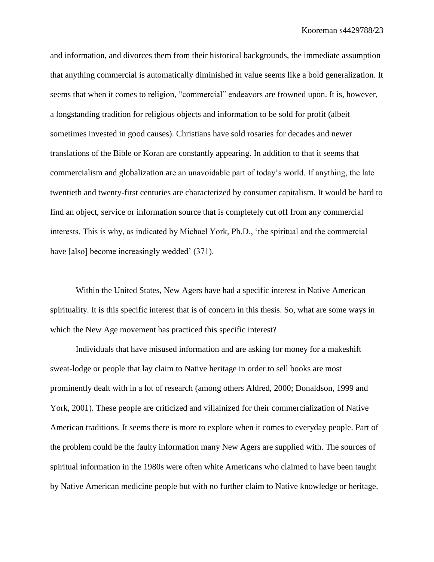and information, and divorces them from their historical backgrounds, the immediate assumption that anything commercial is automatically diminished in value seems like a bold generalization. It seems that when it comes to religion, "commercial" endeavors are frowned upon. It is, however, a longstanding tradition for religious objects and information to be sold for profit (albeit sometimes invested in good causes). Christians have sold rosaries for decades and newer translations of the Bible or Koran are constantly appearing. In addition to that it seems that commercialism and globalization are an unavoidable part of today's world. If anything, the late twentieth and twenty-first centuries are characterized by consumer capitalism. It would be hard to find an object, service or information source that is completely cut off from any commercial interests. This is why, as indicated by Michael York, Ph.D., 'the spiritual and the commercial have [also] become increasingly wedded' (371).

Within the United States, New Agers have had a specific interest in Native American spirituality. It is this specific interest that is of concern in this thesis. So, what are some ways in which the New Age movement has practiced this specific interest?

Individuals that have misused information and are asking for money for a makeshift sweat-lodge or people that lay claim to Native heritage in order to sell books are most prominently dealt with in a lot of research (among others Aldred, 2000; Donaldson, 1999 and York, 2001). These people are criticized and villainized for their commercialization of Native American traditions. It seems there is more to explore when it comes to everyday people. Part of the problem could be the faulty information many New Agers are supplied with. The sources of spiritual information in the 1980s were often white Americans who claimed to have been taught by Native American medicine people but with no further claim to Native knowledge or heritage.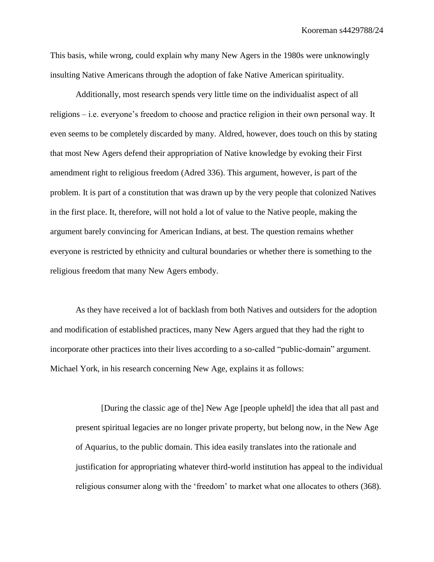This basis, while wrong, could explain why many New Agers in the 1980s were unknowingly insulting Native Americans through the adoption of fake Native American spirituality.

Additionally, most research spends very little time on the individualist aspect of all religions – i.e. everyone's freedom to choose and practice religion in their own personal way. It even seems to be completely discarded by many. Aldred, however, does touch on this by stating that most New Agers defend their appropriation of Native knowledge by evoking their First amendment right to religious freedom (Adred 336). This argument, however, is part of the problem. It is part of a constitution that was drawn up by the very people that colonized Natives in the first place. It, therefore, will not hold a lot of value to the Native people, making the argument barely convincing for American Indians, at best. The question remains whether everyone is restricted by ethnicity and cultural boundaries or whether there is something to the religious freedom that many New Agers embody.

As they have received a lot of backlash from both Natives and outsiders for the adoption and modification of established practices, many New Agers argued that they had the right to incorporate other practices into their lives according to a so-called "public-domain" argument. Michael York, in his research concerning New Age, explains it as follows:

[During the classic age of the] New Age [people upheld] the idea that all past and present spiritual legacies are no longer private property, but belong now, in the New Age of Aquarius, to the public domain. This idea easily translates into the rationale and justification for appropriating whatever third-world institution has appeal to the individual religious consumer along with the 'freedom' to market what one allocates to others (368).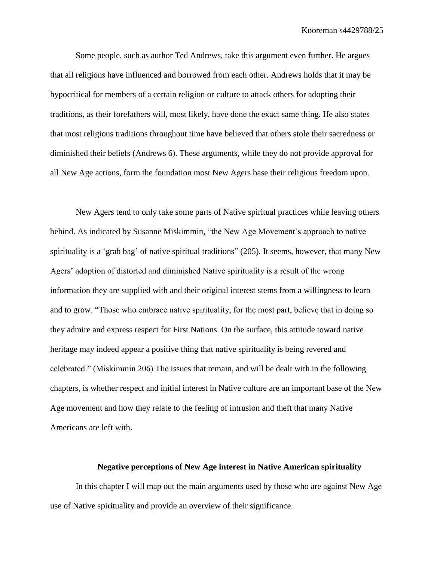Some people, such as author Ted Andrews, take this argument even further. He argues that all religions have influenced and borrowed from each other. Andrews holds that it may be hypocritical for members of a certain religion or culture to attack others for adopting their traditions, as their forefathers will, most likely, have done the exact same thing. He also states that most religious traditions throughout time have believed that others stole their sacredness or diminished their beliefs (Andrews 6). These arguments, while they do not provide approval for all New Age actions, form the foundation most New Agers base their religious freedom upon.

New Agers tend to only take some parts of Native spiritual practices while leaving others behind. As indicated by Susanne Miskimmin, "the New Age Movement's approach to native spirituality is a 'grab bag' of native spiritual traditions" (205). It seems, however, that many New Agers' adoption of distorted and diminished Native spirituality is a result of the wrong information they are supplied with and their original interest stems from a willingness to learn and to grow. "Those who embrace native spirituality, for the most part, believe that in doing so they admire and express respect for First Nations. On the surface, this attitude toward native heritage may indeed appear a positive thing that native spirituality is being revered and celebrated." (Miskimmin 206) The issues that remain, and will be dealt with in the following chapters, is whether respect and initial interest in Native culture are an important base of the New Age movement and how they relate to the feeling of intrusion and theft that many Native Americans are left with.

#### **Negative perceptions of New Age interest in Native American spirituality**

In this chapter I will map out the main arguments used by those who are against New Age use of Native spirituality and provide an overview of their significance.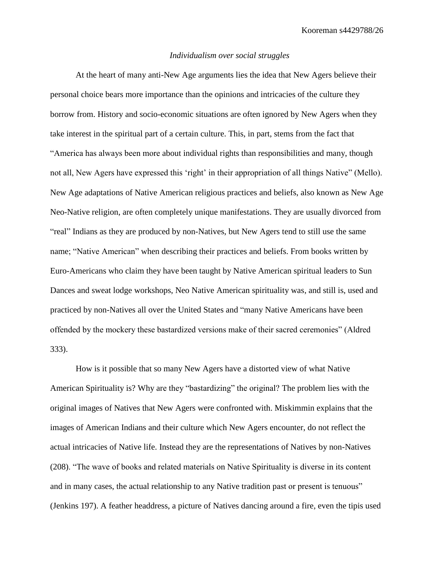## *Individualism over social struggles*

At the heart of many anti-New Age arguments lies the idea that New Agers believe their personal choice bears more importance than the opinions and intricacies of the culture they borrow from. History and socio-economic situations are often ignored by New Agers when they take interest in the spiritual part of a certain culture. This, in part, stems from the fact that "America has always been more about individual rights than responsibilities and many, though not all, New Agers have expressed this 'right' in their appropriation of all things Native" (Mello). New Age adaptations of Native American religious practices and beliefs, also known as New Age Neo-Native religion, are often completely unique manifestations. They are usually divorced from "real" Indians as they are produced by non-Natives, but New Agers tend to still use the same name; "Native American" when describing their practices and beliefs. From books written by Euro-Americans who claim they have been taught by Native American spiritual leaders to Sun Dances and sweat lodge workshops, Neo Native American spirituality was, and still is, used and practiced by non-Natives all over the United States and "many Native Americans have been offended by the mockery these bastardized versions make of their sacred ceremonies" (Aldred 333).

How is it possible that so many New Agers have a distorted view of what Native American Spirituality is? Why are they "bastardizing" the original? The problem lies with the original images of Natives that New Agers were confronted with. Miskimmin explains that the images of American Indians and their culture which New Agers encounter, do not reflect the actual intricacies of Native life. Instead they are the representations of Natives by non-Natives (208). "The wave of books and related materials on Native Spirituality is diverse in its content and in many cases, the actual relationship to any Native tradition past or present is tenuous" (Jenkins 197). A feather headdress, a picture of Natives dancing around a fire, even the tipis used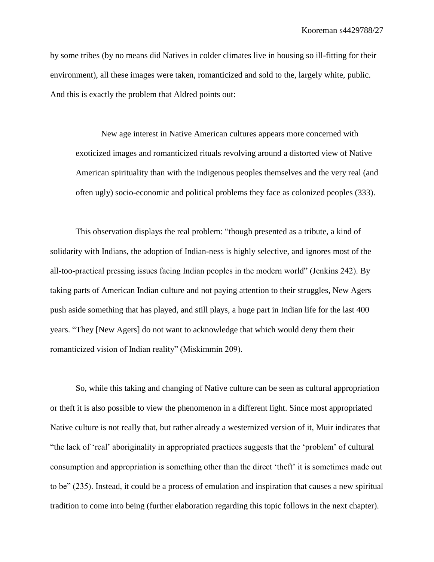by some tribes (by no means did Natives in colder climates live in housing so ill-fitting for their environment), all these images were taken, romanticized and sold to the, largely white, public. And this is exactly the problem that Aldred points out:

New age interest in Native American cultures appears more concerned with exoticized images and romanticized rituals revolving around a distorted view of Native American spirituality than with the indigenous peoples themselves and the very real (and often ugly) socio-economic and political problems they face as colonized peoples (333).

This observation displays the real problem: "though presented as a tribute, a kind of solidarity with Indians, the adoption of Indian-ness is highly selective, and ignores most of the all-too-practical pressing issues facing Indian peoples in the modern world" (Jenkins 242). By taking parts of American Indian culture and not paying attention to their struggles, New Agers push aside something that has played, and still plays, a huge part in Indian life for the last 400 years. "They [New Agers] do not want to acknowledge that which would deny them their romanticized vision of Indian reality" (Miskimmin 209).

So, while this taking and changing of Native culture can be seen as cultural appropriation or theft it is also possible to view the phenomenon in a different light. Since most appropriated Native culture is not really that, but rather already a westernized version of it, Muir indicates that "the lack of 'real' aboriginality in appropriated practices suggests that the 'problem' of cultural consumption and appropriation is something other than the direct 'theft' it is sometimes made out to be" (235). Instead, it could be a process of emulation and inspiration that causes a new spiritual tradition to come into being (further elaboration regarding this topic follows in the next chapter).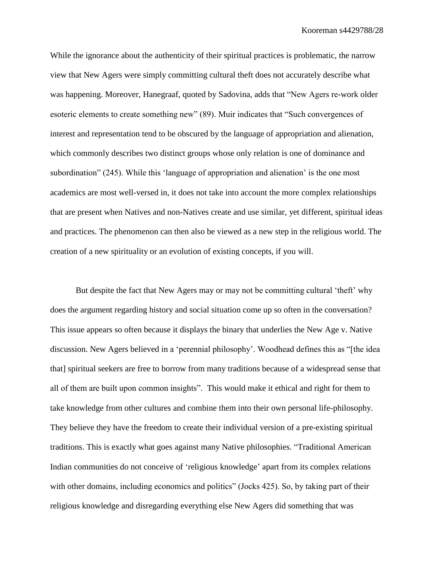While the ignorance about the authenticity of their spiritual practices is problematic, the narrow view that New Agers were simply committing cultural theft does not accurately describe what was happening. Moreover, Hanegraaf, quoted by Sadovina, adds that "New Agers re-work older esoteric elements to create something new" (89). Muir indicates that "Such convergences of interest and representation tend to be obscured by the language of appropriation and alienation, which commonly describes two distinct groups whose only relation is one of dominance and subordination" (245). While this 'language of appropriation and alienation' is the one most academics are most well-versed in, it does not take into account the more complex relationships that are present when Natives and non-Natives create and use similar, yet different, spiritual ideas and practices. The phenomenon can then also be viewed as a new step in the religious world. The creation of a new spirituality or an evolution of existing concepts, if you will.

But despite the fact that New Agers may or may not be committing cultural 'theft' why does the argument regarding history and social situation come up so often in the conversation? This issue appears so often because it displays the binary that underlies the New Age v. Native discussion. New Agers believed in a 'perennial philosophy'. Woodhead defines this as "[the idea that] spiritual seekers are free to borrow from many traditions because of a widespread sense that all of them are built upon common insights". This would make it ethical and right for them to take knowledge from other cultures and combine them into their own personal life-philosophy. They believe they have the freedom to create their individual version of a pre-existing spiritual traditions. This is exactly what goes against many Native philosophies. "Traditional American Indian communities do not conceive of 'religious knowledge' apart from its complex relations with other domains, including economics and politics" (Jocks 425). So, by taking part of their religious knowledge and disregarding everything else New Agers did something that was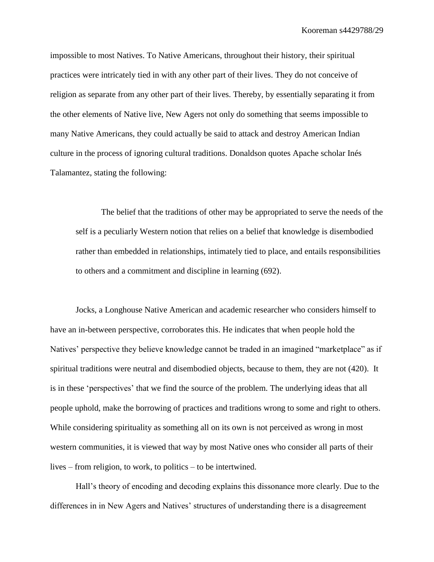impossible to most Natives. To Native Americans, throughout their history, their spiritual practices were intricately tied in with any other part of their lives. They do not conceive of religion as separate from any other part of their lives. Thereby, by essentially separating it from the other elements of Native live, New Agers not only do something that seems impossible to many Native Americans, they could actually be said to attack and destroy American Indian culture in the process of ignoring cultural traditions. Donaldson quotes Apache scholar Inés Talamantez, stating the following:

The belief that the traditions of other may be appropriated to serve the needs of the self is a peculiarly Western notion that relies on a belief that knowledge is disembodied rather than embedded in relationships, intimately tied to place, and entails responsibilities to others and a commitment and discipline in learning (692).

Jocks, a Longhouse Native American and academic researcher who considers himself to have an in-between perspective, corroborates this. He indicates that when people hold the Natives' perspective they believe knowledge cannot be traded in an imagined "marketplace" as if spiritual traditions were neutral and disembodied objects, because to them, they are not (420). It is in these 'perspectives' that we find the source of the problem. The underlying ideas that all people uphold, make the borrowing of practices and traditions wrong to some and right to others. While considering spirituality as something all on its own is not perceived as wrong in most western communities, it is viewed that way by most Native ones who consider all parts of their lives – from religion, to work, to politics – to be intertwined.

Hall's theory of encoding and decoding explains this dissonance more clearly. Due to the differences in in New Agers and Natives' structures of understanding there is a disagreement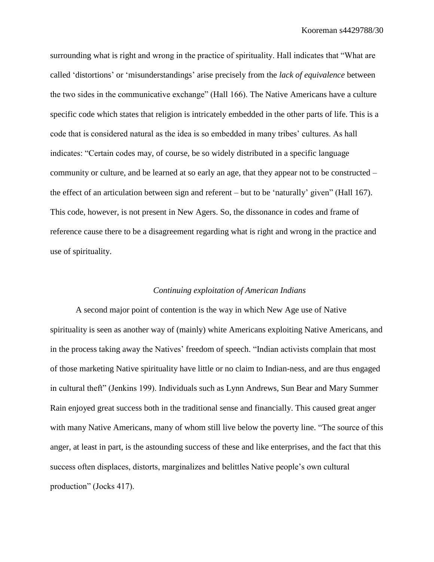surrounding what is right and wrong in the practice of spirituality. Hall indicates that "What are called 'distortions' or 'misunderstandings' arise precisely from the *lack of equivalence* between the two sides in the communicative exchange" (Hall 166). The Native Americans have a culture specific code which states that religion is intricately embedded in the other parts of life. This is a code that is considered natural as the idea is so embedded in many tribes' cultures. As hall indicates: "Certain codes may, of course, be so widely distributed in a specific language community or culture, and be learned at so early an age, that they appear not to be constructed – the effect of an articulation between sign and referent – but to be 'naturally' given" (Hall 167). This code, however, is not present in New Agers. So, the dissonance in codes and frame of reference cause there to be a disagreement regarding what is right and wrong in the practice and use of spirituality.

## *Continuing exploitation of American Indians*

A second major point of contention is the way in which New Age use of Native spirituality is seen as another way of (mainly) white Americans exploiting Native Americans, and in the process taking away the Natives' freedom of speech. "Indian activists complain that most of those marketing Native spirituality have little or no claim to Indian-ness, and are thus engaged in cultural theft" (Jenkins 199). Individuals such as Lynn Andrews, Sun Bear and Mary Summer Rain enjoyed great success both in the traditional sense and financially. This caused great anger with many Native Americans, many of whom still live below the poverty line. "The source of this anger, at least in part, is the astounding success of these and like enterprises, and the fact that this success often displaces, distorts, marginalizes and belittles Native people's own cultural production" (Jocks 417).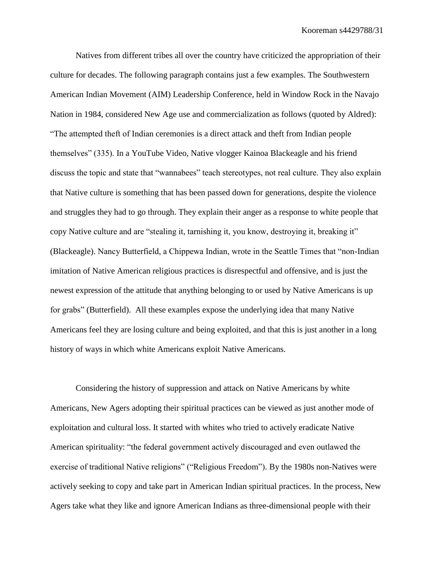Natives from different tribes all over the country have criticized the appropriation of their culture for decades. The following paragraph contains just a few examples. The Southwestern American Indian Movement (AIM) Leadership Conference, held in Window Rock in the Navajo Nation in 1984, considered New Age use and commercialization as follows (quoted by Aldred): "The attempted theft of Indian ceremonies is a direct attack and theft from Indian people themselves" (335). In a YouTube Video, Native vlogger Kainoa Blackeagle and his friend discuss the topic and state that "wannabees" teach stereotypes, not real culture. They also explain that Native culture is something that has been passed down for generations, despite the violence and struggles they had to go through. They explain their anger as a response to white people that copy Native culture and are "stealing it, tarnishing it, you know, destroying it, breaking it" (Blackeagle). Nancy Butterfield, a Chippewa Indian, wrote in the Seattle Times that "non-Indian imitation of Native American religious practices is disrespectful and offensive, and is just the newest expression of the attitude that anything belonging to or used by Native Americans is up for grabs" (Butterfield). All these examples expose the underlying idea that many Native Americans feel they are losing culture and being exploited, and that this is just another in a long history of ways in which white Americans exploit Native Americans.

Considering the history of suppression and attack on Native Americans by white Americans, New Agers adopting their spiritual practices can be viewed as just another mode of exploitation and cultural loss. It started with whites who tried to actively eradicate Native American spirituality: "the federal government actively discouraged and even outlawed the exercise of traditional Native religions" ("Religious Freedom"). By the 1980s non-Natives were actively seeking to copy and take part in American Indian spiritual practices. In the process, New Agers take what they like and ignore American Indians as three-dimensional people with their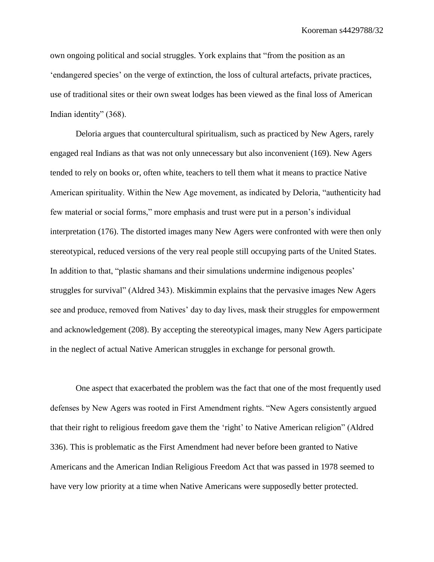own ongoing political and social struggles. York explains that "from the position as an 'endangered species' on the verge of extinction, the loss of cultural artefacts, private practices, use of traditional sites or their own sweat lodges has been viewed as the final loss of American Indian identity" (368).

Deloria argues that countercultural spiritualism, such as practiced by New Agers, rarely engaged real Indians as that was not only unnecessary but also inconvenient (169). New Agers tended to rely on books or, often white, teachers to tell them what it means to practice Native American spirituality. Within the New Age movement, as indicated by Deloria, "authenticity had few material or social forms," more emphasis and trust were put in a person's individual interpretation (176). The distorted images many New Agers were confronted with were then only stereotypical, reduced versions of the very real people still occupying parts of the United States. In addition to that, "plastic shamans and their simulations undermine indigenous peoples' struggles for survival" (Aldred 343). Miskimmin explains that the pervasive images New Agers see and produce, removed from Natives' day to day lives, mask their struggles for empowerment and acknowledgement (208). By accepting the stereotypical images, many New Agers participate in the neglect of actual Native American struggles in exchange for personal growth.

One aspect that exacerbated the problem was the fact that one of the most frequently used defenses by New Agers was rooted in First Amendment rights. "New Agers consistently argued that their right to religious freedom gave them the 'right' to Native American religion" (Aldred 336). This is problematic as the First Amendment had never before been granted to Native Americans and the American Indian Religious Freedom Act that was passed in 1978 seemed to have very low priority at a time when Native Americans were supposedly better protected.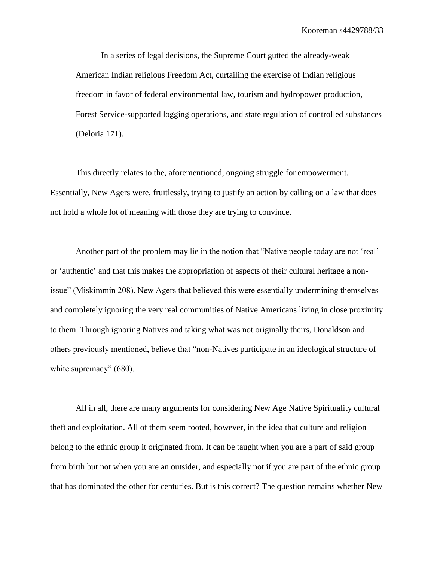In a series of legal decisions, the Supreme Court gutted the already-weak American Indian religious Freedom Act, curtailing the exercise of Indian religious freedom in favor of federal environmental law, tourism and hydropower production, Forest Service-supported logging operations, and state regulation of controlled substances (Deloria 171).

This directly relates to the, aforementioned, ongoing struggle for empowerment. Essentially, New Agers were, fruitlessly, trying to justify an action by calling on a law that does not hold a whole lot of meaning with those they are trying to convince.

Another part of the problem may lie in the notion that "Native people today are not 'real' or 'authentic' and that this makes the appropriation of aspects of their cultural heritage a nonissue" (Miskimmin 208). New Agers that believed this were essentially undermining themselves and completely ignoring the very real communities of Native Americans living in close proximity to them. Through ignoring Natives and taking what was not originally theirs, Donaldson and others previously mentioned, believe that "non-Natives participate in an ideological structure of white supremacy" (680).

All in all, there are many arguments for considering New Age Native Spirituality cultural theft and exploitation. All of them seem rooted, however, in the idea that culture and religion belong to the ethnic group it originated from. It can be taught when you are a part of said group from birth but not when you are an outsider, and especially not if you are part of the ethnic group that has dominated the other for centuries. But is this correct? The question remains whether New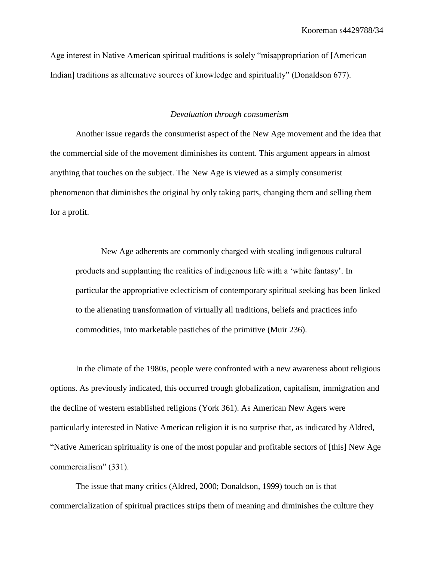Age interest in Native American spiritual traditions is solely "misappropriation of [American Indian] traditions as alternative sources of knowledge and spirituality" (Donaldson 677).

## *Devaluation through consumerism*

Another issue regards the consumerist aspect of the New Age movement and the idea that the commercial side of the movement diminishes its content. This argument appears in almost anything that touches on the subject. The New Age is viewed as a simply consumerist phenomenon that diminishes the original by only taking parts, changing them and selling them for a profit.

New Age adherents are commonly charged with stealing indigenous cultural products and supplanting the realities of indigenous life with a 'white fantasy'. In particular the appropriative eclecticism of contemporary spiritual seeking has been linked to the alienating transformation of virtually all traditions, beliefs and practices info commodities, into marketable pastiches of the primitive (Muir 236).

In the climate of the 1980s, people were confronted with a new awareness about religious options. As previously indicated, this occurred trough globalization, capitalism, immigration and the decline of western established religions (York 361). As American New Agers were particularly interested in Native American religion it is no surprise that, as indicated by Aldred, "Native American spirituality is one of the most popular and profitable sectors of [this] New Age commercialism" (331).

The issue that many critics (Aldred, 2000; Donaldson, 1999) touch on is that commercialization of spiritual practices strips them of meaning and diminishes the culture they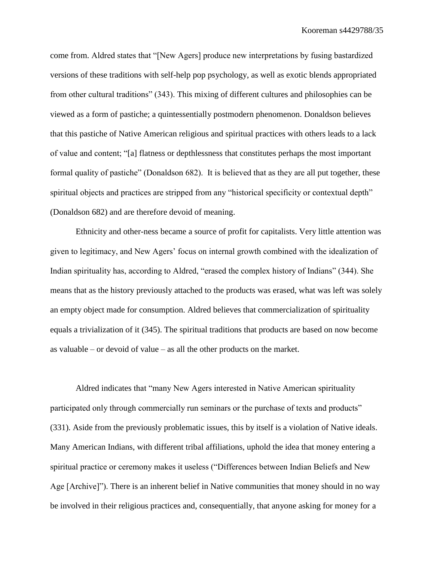come from. Aldred states that "[New Agers] produce new interpretations by fusing bastardized versions of these traditions with self-help pop psychology, as well as exotic blends appropriated from other cultural traditions" (343). This mixing of different cultures and philosophies can be viewed as a form of pastiche; a quintessentially postmodern phenomenon. Donaldson believes that this pastiche of Native American religious and spiritual practices with others leads to a lack of value and content; "[a] flatness or depthlessness that constitutes perhaps the most important formal quality of pastiche" (Donaldson 682). It is believed that as they are all put together, these spiritual objects and practices are stripped from any "historical specificity or contextual depth" (Donaldson 682) and are therefore devoid of meaning.

Ethnicity and other-ness became a source of profit for capitalists. Very little attention was given to legitimacy, and New Agers' focus on internal growth combined with the idealization of Indian spirituality has, according to Aldred, "erased the complex history of Indians" (344). She means that as the history previously attached to the products was erased, what was left was solely an empty object made for consumption. Aldred believes that commercialization of spirituality equals a trivialization of it (345). The spiritual traditions that products are based on now become as valuable – or devoid of value – as all the other products on the market.

Aldred indicates that "many New Agers interested in Native American spirituality participated only through commercially run seminars or the purchase of texts and products" (331). Aside from the previously problematic issues, this by itself is a violation of Native ideals. Many American Indians, with different tribal affiliations, uphold the idea that money entering a spiritual practice or ceremony makes it useless ("Differences between Indian Beliefs and New Age [Archive]"). There is an inherent belief in Native communities that money should in no way be involved in their religious practices and, consequentially, that anyone asking for money for a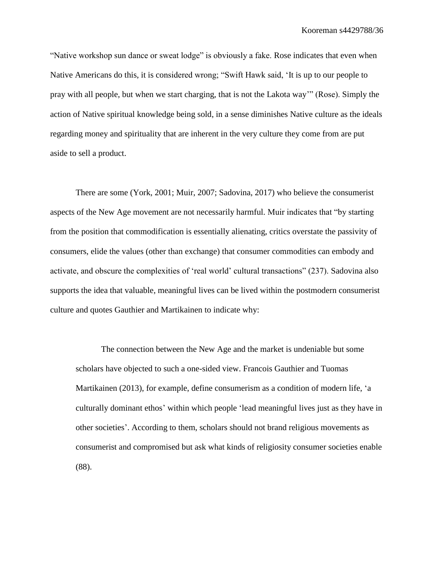"Native workshop sun dance or sweat lodge" is obviously a fake. Rose indicates that even when Native Americans do this, it is considered wrong; "Swift Hawk said, 'It is up to our people to pray with all people, but when we start charging, that is not the Lakota way'" (Rose). Simply the action of Native spiritual knowledge being sold, in a sense diminishes Native culture as the ideals regarding money and spirituality that are inherent in the very culture they come from are put aside to sell a product.

There are some (York, 2001; Muir, 2007; Sadovina, 2017) who believe the consumerist aspects of the New Age movement are not necessarily harmful. Muir indicates that "by starting from the position that commodification is essentially alienating, critics overstate the passivity of consumers, elide the values (other than exchange) that consumer commodities can embody and activate, and obscure the complexities of 'real world' cultural transactions" (237). Sadovina also supports the idea that valuable, meaningful lives can be lived within the postmodern consumerist culture and quotes Gauthier and Martikainen to indicate why:

The connection between the New Age and the market is undeniable but some scholars have objected to such a one-sided view. Francois Gauthier and Tuomas Martikainen (2013), for example, define consumerism as a condition of modern life, 'a culturally dominant ethos' within which people 'lead meaningful lives just as they have in other societies'. According to them, scholars should not brand religious movements as consumerist and compromised but ask what kinds of religiosity consumer societies enable (88).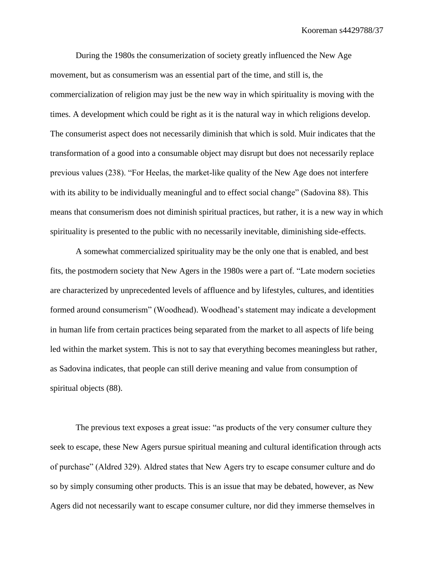During the 1980s the consumerization of society greatly influenced the New Age movement, but as consumerism was an essential part of the time, and still is, the commercialization of religion may just be the new way in which spirituality is moving with the times. A development which could be right as it is the natural way in which religions develop. The consumerist aspect does not necessarily diminish that which is sold. Muir indicates that the transformation of a good into a consumable object may disrupt but does not necessarily replace previous values (238). "For Heelas, the market-like quality of the New Age does not interfere with its ability to be individually meaningful and to effect social change" (Sadovina 88). This means that consumerism does not diminish spiritual practices, but rather, it is a new way in which spirituality is presented to the public with no necessarily inevitable, diminishing side-effects.

A somewhat commercialized spirituality may be the only one that is enabled, and best fits, the postmodern society that New Agers in the 1980s were a part of. "Late modern societies are characterized by unprecedented levels of affluence and by lifestyles, cultures, and identities formed around consumerism" (Woodhead). Woodhead's statement may indicate a development in human life from certain practices being separated from the market to all aspects of life being led within the market system. This is not to say that everything becomes meaningless but rather, as Sadovina indicates, that people can still derive meaning and value from consumption of spiritual objects (88).

The previous text exposes a great issue: "as products of the very consumer culture they seek to escape, these New Agers pursue spiritual meaning and cultural identification through acts of purchase" (Aldred 329). Aldred states that New Agers try to escape consumer culture and do so by simply consuming other products. This is an issue that may be debated, however, as New Agers did not necessarily want to escape consumer culture, nor did they immerse themselves in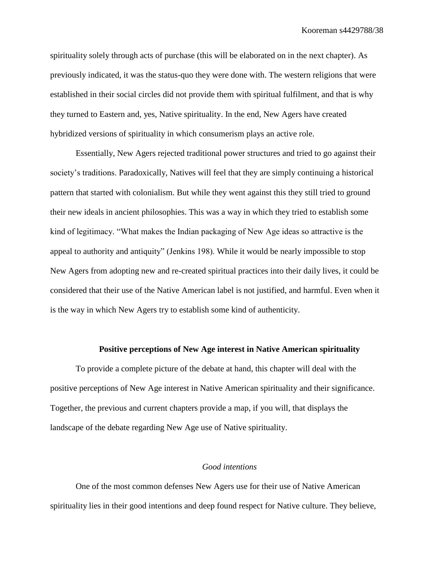spirituality solely through acts of purchase (this will be elaborated on in the next chapter). As previously indicated, it was the status-quo they were done with. The western religions that were established in their social circles did not provide them with spiritual fulfilment, and that is why they turned to Eastern and, yes, Native spirituality. In the end, New Agers have created hybridized versions of spirituality in which consumerism plays an active role.

Essentially, New Agers rejected traditional power structures and tried to go against their society's traditions. Paradoxically, Natives will feel that they are simply continuing a historical pattern that started with colonialism. But while they went against this they still tried to ground their new ideals in ancient philosophies. This was a way in which they tried to establish some kind of legitimacy. "What makes the Indian packaging of New Age ideas so attractive is the appeal to authority and antiquity" (Jenkins 198). While it would be nearly impossible to stop New Agers from adopting new and re-created spiritual practices into their daily lives, it could be considered that their use of the Native American label is not justified, and harmful. Even when it is the way in which New Agers try to establish some kind of authenticity.

## **Positive perceptions of New Age interest in Native American spirituality**

To provide a complete picture of the debate at hand, this chapter will deal with the positive perceptions of New Age interest in Native American spirituality and their significance. Together, the previous and current chapters provide a map, if you will, that displays the landscape of the debate regarding New Age use of Native spirituality.

## *Good intentions*

One of the most common defenses New Agers use for their use of Native American spirituality lies in their good intentions and deep found respect for Native culture. They believe,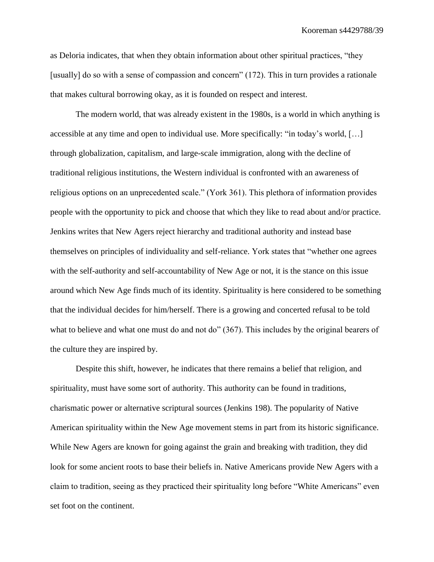as Deloria indicates, that when they obtain information about other spiritual practices, "they [usually] do so with a sense of compassion and concern" (172). This in turn provides a rationale that makes cultural borrowing okay, as it is founded on respect and interest.

The modern world, that was already existent in the 1980s, is a world in which anything is accessible at any time and open to individual use. More specifically: "in today's world, […] through globalization, capitalism, and large-scale immigration, along with the decline of traditional religious institutions, the Western individual is confronted with an awareness of religious options on an unprecedented scale." (York 361). This plethora of information provides people with the opportunity to pick and choose that which they like to read about and/or practice. Jenkins writes that New Agers reject hierarchy and traditional authority and instead base themselves on principles of individuality and self-reliance. York states that "whether one agrees with the self-authority and self-accountability of New Age or not, it is the stance on this issue around which New Age finds much of its identity. Spirituality is here considered to be something that the individual decides for him/herself. There is a growing and concerted refusal to be told what to believe and what one must do and not do" (367). This includes by the original bearers of the culture they are inspired by.

Despite this shift, however, he indicates that there remains a belief that religion, and spirituality, must have some sort of authority. This authority can be found in traditions, charismatic power or alternative scriptural sources (Jenkins 198). The popularity of Native American spirituality within the New Age movement stems in part from its historic significance. While New Agers are known for going against the grain and breaking with tradition, they did look for some ancient roots to base their beliefs in. Native Americans provide New Agers with a claim to tradition, seeing as they practiced their spirituality long before "White Americans" even set foot on the continent.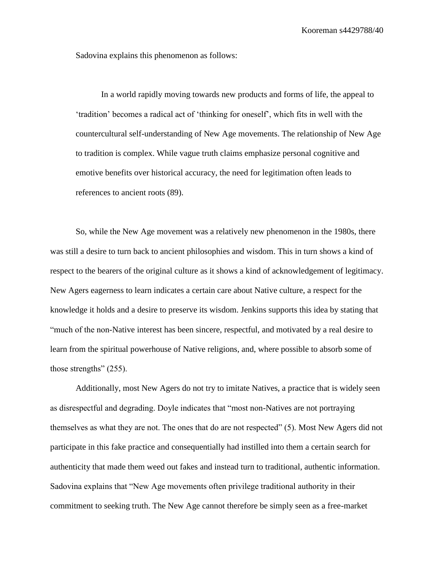Sadovina explains this phenomenon as follows:

In a world rapidly moving towards new products and forms of life, the appeal to 'tradition' becomes a radical act of 'thinking for oneself', which fits in well with the countercultural self-understanding of New Age movements. The relationship of New Age to tradition is complex. While vague truth claims emphasize personal cognitive and emotive benefits over historical accuracy, the need for legitimation often leads to references to ancient roots (89).

So, while the New Age movement was a relatively new phenomenon in the 1980s, there was still a desire to turn back to ancient philosophies and wisdom. This in turn shows a kind of respect to the bearers of the original culture as it shows a kind of acknowledgement of legitimacy. New Agers eagerness to learn indicates a certain care about Native culture, a respect for the knowledge it holds and a desire to preserve its wisdom. Jenkins supports this idea by stating that "much of the non-Native interest has been sincere, respectful, and motivated by a real desire to learn from the spiritual powerhouse of Native religions, and, where possible to absorb some of those strengths"  $(255)$ .

Additionally, most New Agers do not try to imitate Natives, a practice that is widely seen as disrespectful and degrading. Doyle indicates that "most non-Natives are not portraying themselves as what they are not. The ones that do are not respected" (5). Most New Agers did not participate in this fake practice and consequentially had instilled into them a certain search for authenticity that made them weed out fakes and instead turn to traditional, authentic information. Sadovina explains that "New Age movements often privilege traditional authority in their commitment to seeking truth. The New Age cannot therefore be simply seen as a free-market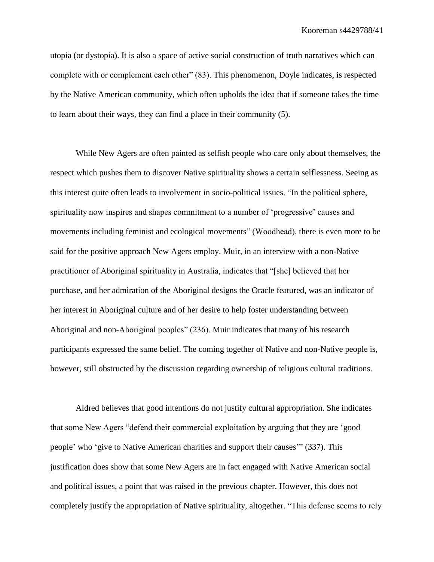utopia (or dystopia). It is also a space of active social construction of truth narratives which can complete with or complement each other" (83). This phenomenon, Doyle indicates, is respected by the Native American community, which often upholds the idea that if someone takes the time to learn about their ways, they can find a place in their community (5).

While New Agers are often painted as selfish people who care only about themselves, the respect which pushes them to discover Native spirituality shows a certain selflessness. Seeing as this interest quite often leads to involvement in socio-political issues. "In the political sphere, spirituality now inspires and shapes commitment to a number of 'progressive' causes and movements including feminist and ecological movements" (Woodhead). there is even more to be said for the positive approach New Agers employ. Muir, in an interview with a non-Native practitioner of Aboriginal spirituality in Australia, indicates that "[she] believed that her purchase, and her admiration of the Aboriginal designs the Oracle featured, was an indicator of her interest in Aboriginal culture and of her desire to help foster understanding between Aboriginal and non-Aboriginal peoples" (236). Muir indicates that many of his research participants expressed the same belief. The coming together of Native and non-Native people is, however, still obstructed by the discussion regarding ownership of religious cultural traditions.

Aldred believes that good intentions do not justify cultural appropriation. She indicates that some New Agers "defend their commercial exploitation by arguing that they are 'good people' who 'give to Native American charities and support their causes'" (337). This justification does show that some New Agers are in fact engaged with Native American social and political issues, a point that was raised in the previous chapter. However, this does not completely justify the appropriation of Native spirituality, altogether. "This defense seems to rely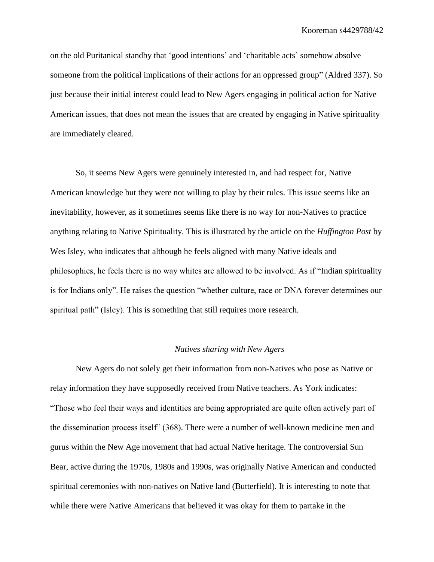on the old Puritanical standby that 'good intentions' and 'charitable acts' somehow absolve someone from the political implications of their actions for an oppressed group" (Aldred 337). So just because their initial interest could lead to New Agers engaging in political action for Native American issues, that does not mean the issues that are created by engaging in Native spirituality are immediately cleared.

So, it seems New Agers were genuinely interested in, and had respect for, Native American knowledge but they were not willing to play by their rules. This issue seems like an inevitability, however, as it sometimes seems like there is no way for non-Natives to practice anything relating to Native Spirituality. This is illustrated by the article on the *Huffington Post* by Wes Isley, who indicates that although he feels aligned with many Native ideals and philosophies, he feels there is no way whites are allowed to be involved. As if "Indian spirituality is for Indians only". He raises the question "whether culture, race or DNA forever determines our spiritual path" (Isley). This is something that still requires more research.

## *Natives sharing with New Agers*

New Agers do not solely get their information from non-Natives who pose as Native or relay information they have supposedly received from Native teachers. As York indicates: "Those who feel their ways and identities are being appropriated are quite often actively part of the dissemination process itself" (368). There were a number of well-known medicine men and gurus within the New Age movement that had actual Native heritage. The controversial Sun Bear, active during the 1970s, 1980s and 1990s, was originally Native American and conducted spiritual ceremonies with non-natives on Native land (Butterfield). It is interesting to note that while there were Native Americans that believed it was okay for them to partake in the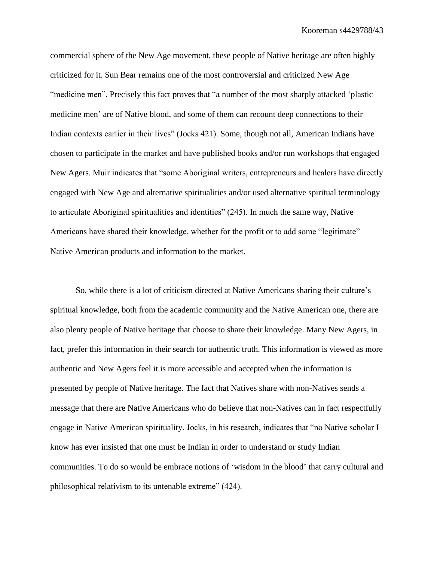commercial sphere of the New Age movement, these people of Native heritage are often highly criticized for it. Sun Bear remains one of the most controversial and criticized New Age "medicine men". Precisely this fact proves that "a number of the most sharply attacked 'plastic medicine men' are of Native blood, and some of them can recount deep connections to their Indian contexts earlier in their lives" (Jocks 421). Some, though not all, American Indians have chosen to participate in the market and have published books and/or run workshops that engaged New Agers. Muir indicates that "some Aboriginal writers, entrepreneurs and healers have directly engaged with New Age and alternative spiritualities and/or used alternative spiritual terminology to articulate Aboriginal spiritualities and identities" (245). In much the same way, Native Americans have shared their knowledge, whether for the profit or to add some "legitimate" Native American products and information to the market.

So, while there is a lot of criticism directed at Native Americans sharing their culture's spiritual knowledge, both from the academic community and the Native American one, there are also plenty people of Native heritage that choose to share their knowledge. Many New Agers, in fact, prefer this information in their search for authentic truth. This information is viewed as more authentic and New Agers feel it is more accessible and accepted when the information is presented by people of Native heritage. The fact that Natives share with non-Natives sends a message that there are Native Americans who do believe that non-Natives can in fact respectfully engage in Native American spirituality. Jocks, in his research, indicates that "no Native scholar I know has ever insisted that one must be Indian in order to understand or study Indian communities. To do so would be embrace notions of 'wisdom in the blood' that carry cultural and philosophical relativism to its untenable extreme" (424).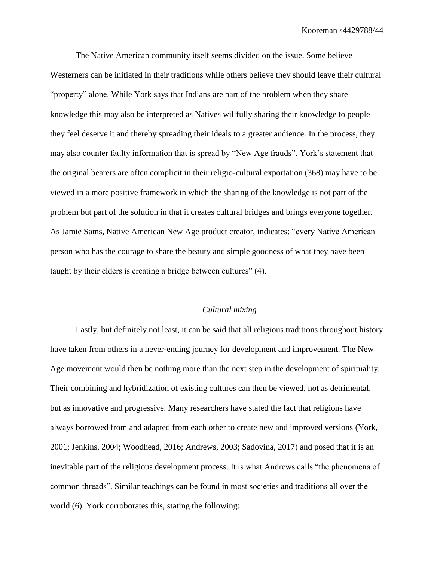The Native American community itself seems divided on the issue. Some believe Westerners can be initiated in their traditions while others believe they should leave their cultural "property" alone. While York says that Indians are part of the problem when they share knowledge this may also be interpreted as Natives willfully sharing their knowledge to people they feel deserve it and thereby spreading their ideals to a greater audience. In the process, they may also counter faulty information that is spread by "New Age frauds". York's statement that the original bearers are often complicit in their religio-cultural exportation (368) may have to be viewed in a more positive framework in which the sharing of the knowledge is not part of the problem but part of the solution in that it creates cultural bridges and brings everyone together. As Jamie Sams, Native American New Age product creator, indicates: "every Native American person who has the courage to share the beauty and simple goodness of what they have been taught by their elders is creating a bridge between cultures" (4).

## *Cultural mixing*

Lastly, but definitely not least, it can be said that all religious traditions throughout history have taken from others in a never-ending journey for development and improvement. The New Age movement would then be nothing more than the next step in the development of spirituality. Their combining and hybridization of existing cultures can then be viewed, not as detrimental, but as innovative and progressive. Many researchers have stated the fact that religions have always borrowed from and adapted from each other to create new and improved versions (York, 2001; Jenkins, 2004; Woodhead, 2016; Andrews, 2003; Sadovina, 2017) and posed that it is an inevitable part of the religious development process. It is what Andrews calls "the phenomena of common threads". Similar teachings can be found in most societies and traditions all over the world (6). York corroborates this, stating the following: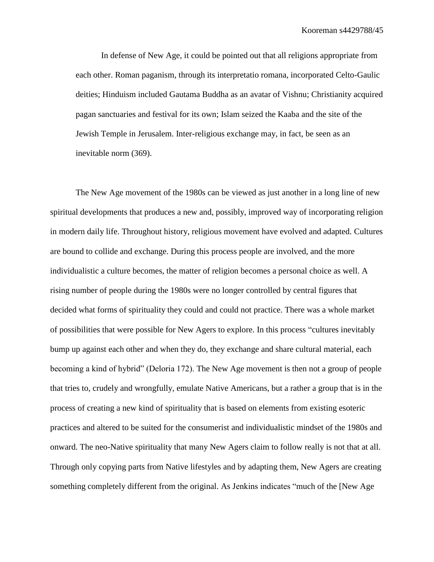In defense of New Age, it could be pointed out that all religions appropriate from each other. Roman paganism, through its interpretatio romana, incorporated Celto-Gaulic deities; Hinduism included Gautama Buddha as an avatar of Vishnu; Christianity acquired pagan sanctuaries and festival for its own; Islam seized the Kaaba and the site of the Jewish Temple in Jerusalem. Inter-religious exchange may, in fact, be seen as an inevitable norm (369).

The New Age movement of the 1980s can be viewed as just another in a long line of new spiritual developments that produces a new and, possibly, improved way of incorporating religion in modern daily life. Throughout history, religious movement have evolved and adapted. Cultures are bound to collide and exchange. During this process people are involved, and the more individualistic a culture becomes, the matter of religion becomes a personal choice as well. A rising number of people during the 1980s were no longer controlled by central figures that decided what forms of spirituality they could and could not practice. There was a whole market of possibilities that were possible for New Agers to explore. In this process "cultures inevitably bump up against each other and when they do, they exchange and share cultural material, each becoming a kind of hybrid" (Deloria 172). The New Age movement is then not a group of people that tries to, crudely and wrongfully, emulate Native Americans, but a rather a group that is in the process of creating a new kind of spirituality that is based on elements from existing esoteric practices and altered to be suited for the consumerist and individualistic mindset of the 1980s and onward. The neo-Native spirituality that many New Agers claim to follow really is not that at all. Through only copying parts from Native lifestyles and by adapting them, New Agers are creating something completely different from the original. As Jenkins indicates "much of the [New Age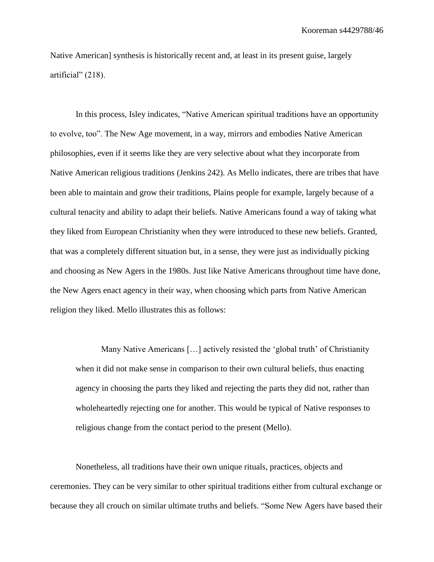Native American] synthesis is historically recent and, at least in its present guise, largely artificial" (218).

In this process, Isley indicates, "Native American spiritual traditions have an opportunity to evolve, too". The New Age movement, in a way, mirrors and embodies Native American philosophies, even if it seems like they are very selective about what they incorporate from Native American religious traditions (Jenkins 242). As Mello indicates, there are tribes that have been able to maintain and grow their traditions, Plains people for example, largely because of a cultural tenacity and ability to adapt their beliefs. Native Americans found a way of taking what they liked from European Christianity when they were introduced to these new beliefs. Granted, that was a completely different situation but, in a sense, they were just as individually picking and choosing as New Agers in the 1980s. Just like Native Americans throughout time have done, the New Agers enact agency in their way, when choosing which parts from Native American religion they liked. Mello illustrates this as follows:

Many Native Americans […] actively resisted the 'global truth' of Christianity when it did not make sense in comparison to their own cultural beliefs, thus enacting agency in choosing the parts they liked and rejecting the parts they did not, rather than wholeheartedly rejecting one for another. This would be typical of Native responses to religious change from the contact period to the present (Mello).

Nonetheless, all traditions have their own unique rituals, practices, objects and ceremonies. They can be very similar to other spiritual traditions either from cultural exchange or because they all crouch on similar ultimate truths and beliefs. "Some New Agers have based their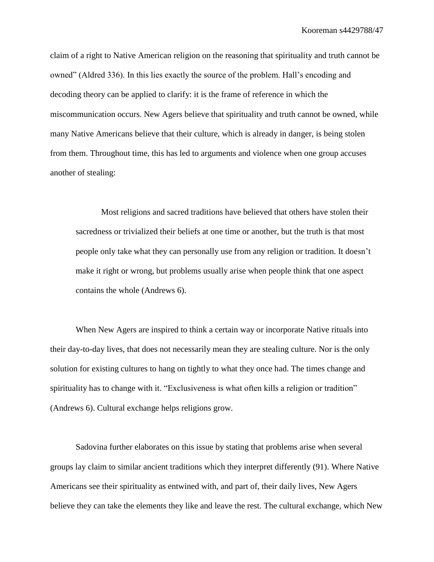claim of a right to Native American religion on the reasoning that spirituality and truth cannot be owned" (Aldred 336). In this lies exactly the source of the problem. Hall's encoding and decoding theory can be applied to clarify: it is the frame of reference in which the miscommunication occurs. New Agers believe that spirituality and truth cannot be owned, while many Native Americans believe that their culture, which is already in danger, is being stolen from them. Throughout time, this has led to arguments and violence when one group accuses another of stealing:

Most religions and sacred traditions have believed that others have stolen their sacredness or trivialized their beliefs at one time or another, but the truth is that most people only take what they can personally use from any religion or tradition. It doesn't make it right or wrong, but problems usually arise when people think that one aspect contains the whole (Andrews 6).

When New Agers are inspired to think a certain way or incorporate Native rituals into their day-to-day lives, that does not necessarily mean they are stealing culture. Nor is the only solution for existing cultures to hang on tightly to what they once had. The times change and spirituality has to change with it. "Exclusiveness is what often kills a religion or tradition" (Andrews 6). Cultural exchange helps religions grow.

Sadovina further elaborates on this issue by stating that problems arise when several groups lay claim to similar ancient traditions which they interpret differently (91). Where Native Americans see their spirituality as entwined with, and part of, their daily lives, New Agers believe they can take the elements they like and leave the rest. The cultural exchange, which New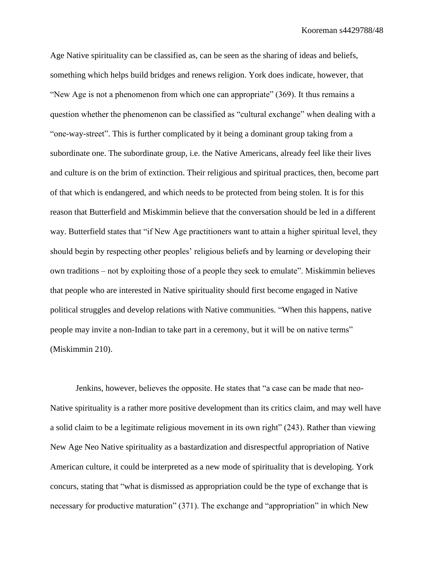Age Native spirituality can be classified as, can be seen as the sharing of ideas and beliefs, something which helps build bridges and renews religion. York does indicate, however, that "New Age is not a phenomenon from which one can appropriate" (369). It thus remains a question whether the phenomenon can be classified as "cultural exchange" when dealing with a "one-way-street". This is further complicated by it being a dominant group taking from a subordinate one. The subordinate group, i.e. the Native Americans, already feel like their lives and culture is on the brim of extinction. Their religious and spiritual practices, then, become part of that which is endangered, and which needs to be protected from being stolen. It is for this reason that Butterfield and Miskimmin believe that the conversation should be led in a different way. Butterfield states that "if New Age practitioners want to attain a higher spiritual level, they should begin by respecting other peoples' religious beliefs and by learning or developing their own traditions – not by exploiting those of a people they seek to emulate". Miskimmin believes that people who are interested in Native spirituality should first become engaged in Native political struggles and develop relations with Native communities. "When this happens, native people may invite a non-Indian to take part in a ceremony, but it will be on native terms" (Miskimmin 210).

Jenkins, however, believes the opposite. He states that "a case can be made that neo-Native spirituality is a rather more positive development than its critics claim, and may well have a solid claim to be a legitimate religious movement in its own right" (243). Rather than viewing New Age Neo Native spirituality as a bastardization and disrespectful appropriation of Native American culture, it could be interpreted as a new mode of spirituality that is developing. York concurs, stating that "what is dismissed as appropriation could be the type of exchange that is necessary for productive maturation" (371). The exchange and "appropriation" in which New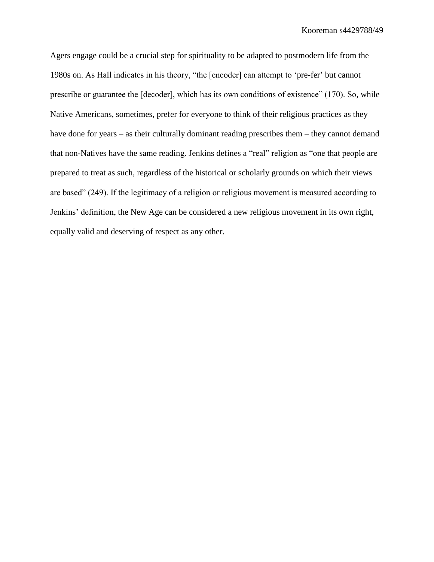Agers engage could be a crucial step for spirituality to be adapted to postmodern life from the 1980s on. As Hall indicates in his theory, "the [encoder] can attempt to 'pre-fer' but cannot prescribe or guarantee the [decoder], which has its own conditions of existence" (170). So, while Native Americans, sometimes, prefer for everyone to think of their religious practices as they have done for years – as their culturally dominant reading prescribes them – they cannot demand that non-Natives have the same reading. Jenkins defines a "real" religion as "one that people are prepared to treat as such, regardless of the historical or scholarly grounds on which their views are based" (249). If the legitimacy of a religion or religious movement is measured according to Jenkins' definition, the New Age can be considered a new religious movement in its own right, equally valid and deserving of respect as any other.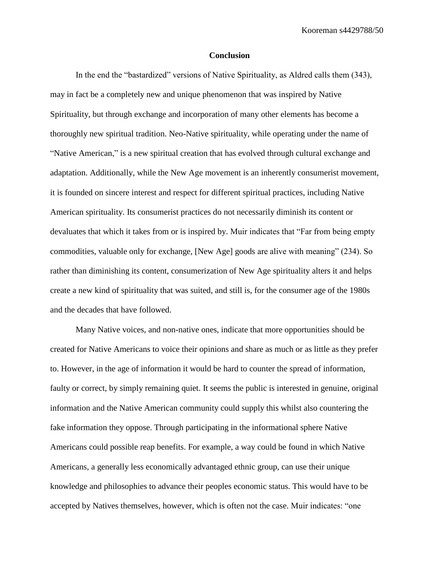## **Conclusion**

In the end the "bastardized" versions of Native Spirituality, as Aldred calls them (343), may in fact be a completely new and unique phenomenon that was inspired by Native Spirituality, but through exchange and incorporation of many other elements has become a thoroughly new spiritual tradition. Neo-Native spirituality, while operating under the name of "Native American," is a new spiritual creation that has evolved through cultural exchange and adaptation. Additionally, while the New Age movement is an inherently consumerist movement, it is founded on sincere interest and respect for different spiritual practices, including Native American spirituality. Its consumerist practices do not necessarily diminish its content or devaluates that which it takes from or is inspired by. Muir indicates that "Far from being empty commodities, valuable only for exchange, [New Age] goods are alive with meaning" (234). So rather than diminishing its content, consumerization of New Age spirituality alters it and helps create a new kind of spirituality that was suited, and still is, for the consumer age of the 1980s and the decades that have followed.

Many Native voices, and non-native ones, indicate that more opportunities should be created for Native Americans to voice their opinions and share as much or as little as they prefer to. However, in the age of information it would be hard to counter the spread of information, faulty or correct, by simply remaining quiet. It seems the public is interested in genuine, original information and the Native American community could supply this whilst also countering the fake information they oppose. Through participating in the informational sphere Native Americans could possible reap benefits. For example, a way could be found in which Native Americans, a generally less economically advantaged ethnic group, can use their unique knowledge and philosophies to advance their peoples economic status. This would have to be accepted by Natives themselves, however, which is often not the case. Muir indicates: "one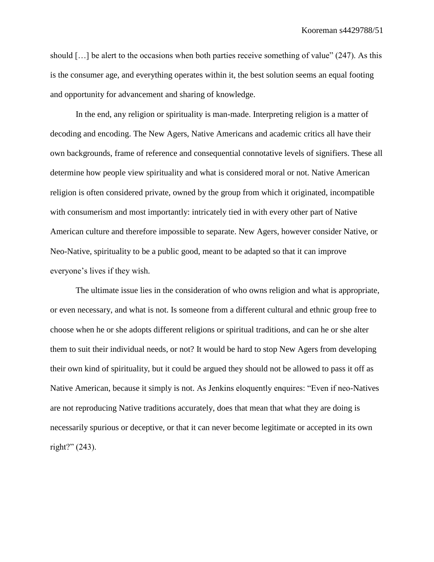should […] be alert to the occasions when both parties receive something of value" (247). As this is the consumer age, and everything operates within it, the best solution seems an equal footing and opportunity for advancement and sharing of knowledge.

In the end, any religion or spirituality is man-made. Interpreting religion is a matter of decoding and encoding. The New Agers, Native Americans and academic critics all have their own backgrounds, frame of reference and consequential connotative levels of signifiers. These all determine how people view spirituality and what is considered moral or not. Native American religion is often considered private, owned by the group from which it originated, incompatible with consumerism and most importantly: intricately tied in with every other part of Native American culture and therefore impossible to separate. New Agers, however consider Native, or Neo-Native, spirituality to be a public good, meant to be adapted so that it can improve everyone's lives if they wish.

The ultimate issue lies in the consideration of who owns religion and what is appropriate, or even necessary, and what is not. Is someone from a different cultural and ethnic group free to choose when he or she adopts different religions or spiritual traditions, and can he or she alter them to suit their individual needs, or not? It would be hard to stop New Agers from developing their own kind of spirituality, but it could be argued they should not be allowed to pass it off as Native American, because it simply is not. As Jenkins eloquently enquires: "Even if neo-Natives are not reproducing Native traditions accurately, does that mean that what they are doing is necessarily spurious or deceptive, or that it can never become legitimate or accepted in its own right?" (243).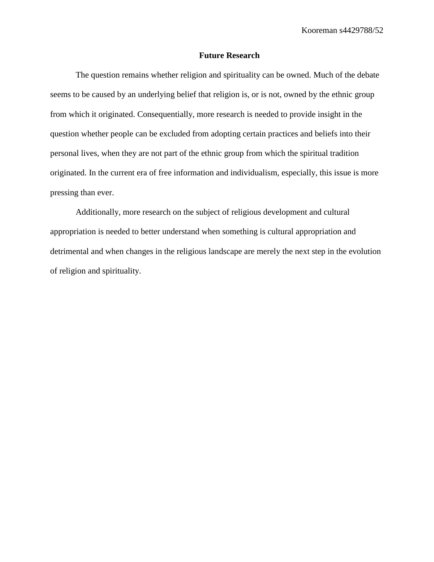## **Future Research**

The question remains whether religion and spirituality can be owned. Much of the debate seems to be caused by an underlying belief that religion is, or is not, owned by the ethnic group from which it originated. Consequentially, more research is needed to provide insight in the question whether people can be excluded from adopting certain practices and beliefs into their personal lives, when they are not part of the ethnic group from which the spiritual tradition originated. In the current era of free information and individualism, especially, this issue is more pressing than ever.

Additionally, more research on the subject of religious development and cultural appropriation is needed to better understand when something is cultural appropriation and detrimental and when changes in the religious landscape are merely the next step in the evolution of religion and spirituality.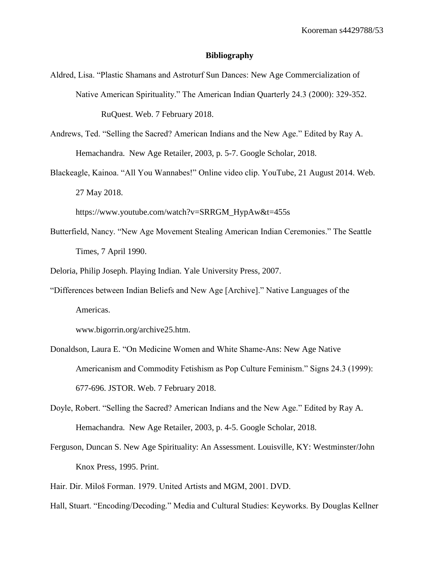### **Bibliography**

- Aldred, Lisa. "Plastic Shamans and Astroturf Sun Dances: New Age Commercialization of Native American Spirituality." The American Indian Quarterly 24.3 (2000): 329-352. RuQuest. Web. 7 February 2018.
- Andrews, Ted. "Selling the Sacred? American Indians and the New Age." Edited by Ray A. Hemachandra. New Age Retailer, 2003, p. 5-7. Google Scholar, 2018.
- Blackeagle, Kainoa. "All You Wannabes!" Online video clip. YouTube, 21 August 2014. Web. 27 May 2018.

https://www.youtube.com/watch?v=SRRGM\_HypAw&t=455s

- Butterfield, Nancy. "New Age Movement Stealing American Indian Ceremonies." The Seattle Times, 7 April 1990.
- Deloria, Philip Joseph. Playing Indian. Yale University Press, 2007.
- "Differences between Indian Beliefs and New Age [Archive]." Native Languages of the Americas.

www.bigorrin.org/archive25.htm.

- Donaldson, Laura E. "On Medicine Women and White Shame-Ans: New Age Native Americanism and Commodity Fetishism as Pop Culture Feminism." Signs 24.3 (1999): 677-696. JSTOR. Web. 7 February 2018.
- Doyle, Robert. "Selling the Sacred? American Indians and the New Age." Edited by Ray A. Hemachandra. New Age Retailer, 2003, p. 4-5. Google Scholar, 2018.
- Ferguson, Duncan S. New Age Spirituality: An Assessment. Louisville, KY: Westminster/John Knox Press, 1995. Print.

Hair. Dir. Miloš Forman. 1979. United Artists and MGM, 2001. DVD.

Hall, Stuart. "Encoding/Decoding." Media and Cultural Studies: Keyworks. By Douglas Kellner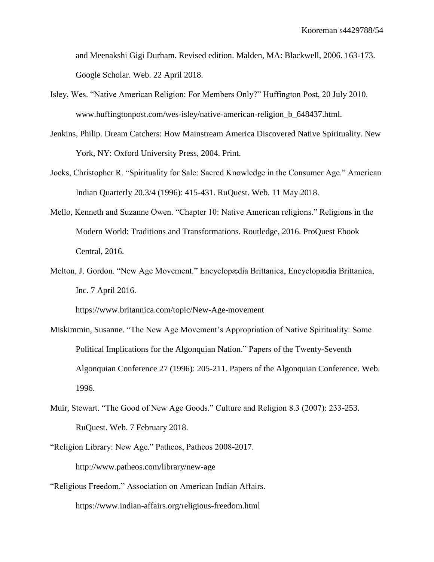and Meenakshi Gigi Durham. Revised edition. Malden, MA: Blackwell, 2006. 163-173. Google Scholar. Web. 22 April 2018.

- Isley, Wes. "Native American Religion: For Members Only?" Huffington Post, 20 July 2010. www.huffingtonpost.com/wes-isley/native-american-religion\_b\_648437.html.
- Jenkins, Philip. Dream Catchers: How Mainstream America Discovered Native Spirituality. New York, NY: Oxford University Press, 2004. Print.
- Jocks, Christopher R. "Spirituality for Sale: Sacred Knowledge in the Consumer Age." American Indian Quarterly 20.3/4 (1996): 415-431. RuQuest. Web. 11 May 2018.
- Mello, Kenneth and Suzanne Owen. "Chapter 10: Native American religions." Religions in the Modern World: Traditions and Transformations. Routledge, 2016. ProQuest Ebook Central, 2016.
- Melton, J. Gordon. "New Age Movement." Encyclopædia Brittanica, Encyclopædia Brittanica, Inc. 7 April 2016.

https://www.britannica.com/topic/New-Age-movement

- Miskimmin, Susanne. "The New Age Movement's Appropriation of Native Spirituality: Some Political Implications for the Algonquian Nation." Papers of the Twenty-Seventh Algonquian Conference 27 (1996): 205-211. Papers of the Algonquian Conference. Web. 1996.
- Muir, Stewart. "The Good of New Age Goods." Culture and Religion 8.3 (2007): 233-253. RuQuest. Web. 7 February 2018.
- "Religion Library: New Age." Patheos, Patheos 2008-2017. http://www.patheos.com/library/new-age
- "Religious Freedom." Association on American Indian Affairs. https://www.indian-affairs.org/religious-freedom.html